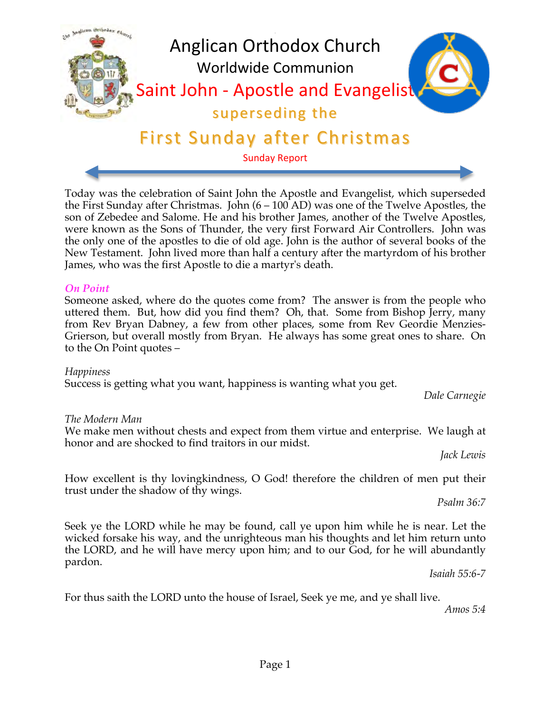

honor and are shocked to find traitors in our midst. *Jack Lewis*

Success is getting what you want, happiness is wanting what you get.

How excellent is thy lovingkindness, O God! therefore the children of men put their trust under the shadow of thy wings.

We make men without chests and expect from them virtue and enterprise. We laugh at

*Psalm 36:7*

Seek ye the LORD while he may be found, call ye upon him while he is near. Let the wicked forsake his way, and the unrighteous man his thoughts and let him return unto the LORD, and he will have mercy upon him; and to our God, for he will abundantly pardon.

*Isaiah 55:6-7*

For thus saith the LORD unto the house of Israel, Seek ye me, and ye shall live.

*Amos 5:4*

Someone asked, where do the quotes come from? The answer is from the people who uttered them. But, how did you find them? Oh, that. Some from Bishop Jerry, many from Rev Bryan Dabney, a few from other places, some from Rev Geordie Menzies-Grierson, but overall mostly from Bryan. He always has some great ones to share. On

*On Point*

Malican Orthodox et

*Happiness*

*The Modern Man*

to the On Point quotes –

Today was the celebration of Saint John the Apostle and Evangelist, which superseded the First Sunday after Christmas. John (6 – 100 AD) was one of the Twelve Apostles, the son of Zebedee and Salome. He and his brother James, another of the Twelve Apostles, were known as the Sons of Thunder, the very first Forward Air Controllers. John was the only one of the apostles to die of old age. John is the author of several books of the New Testament. John lived more than half a century after the martyrdom of his brother James, who was the first Apostle to die a martyr's death.

# First Sunday after Christmas

superseding the

Sunday Report

# Anglican Orthodox Church Worldwide Communion

Saint John - Apostle and Evangelist

*Dale Carnegie*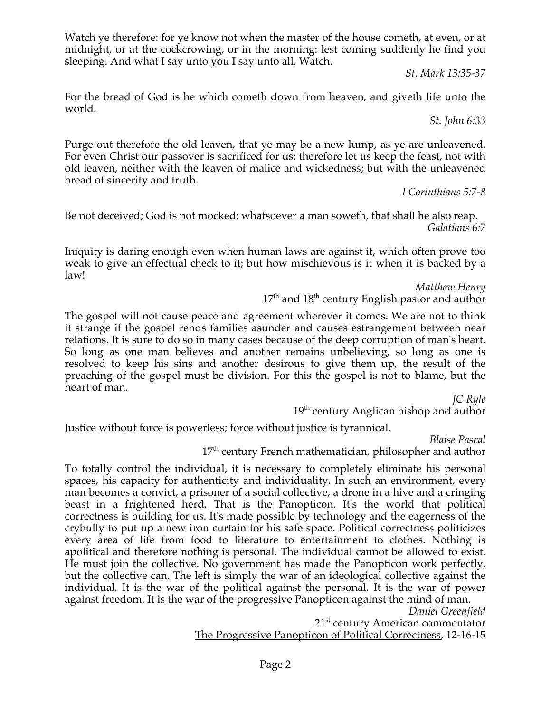Watch ye therefore: for ye know not when the master of the house cometh, at even, or at midnight, or at the cockcrowing, or in the morning: lest coming suddenly he find you sleeping. And what I say unto you I say unto all, Watch.

*St. Mark 13:35-37*

For the bread of God is he which cometh down from heaven, and giveth life unto the world.

*St. John 6:33*

Purge out therefore the old leaven, that ye may be a new lump, as ye are unleavened. For even Christ our passover is sacrificed for us: therefore let us keep the feast, not with old leaven, neither with the leaven of malice and wickedness; but with the unleavened bread of sincerity and truth.

*I Corinthians 5:7-8*

Be not deceived; God is not mocked: whatsoever a man soweth, that shall he also reap. *Galatians 6:7*

Iniquity is daring enough even when human laws are against it, which often prove too weak to give an effectual check to it; but how mischievous is it when it is backed by a law!

*Matthew Henry*

 $17<sup>th</sup>$  and  $18<sup>th</sup>$  century English pastor and author

The gospel will not cause peace and agreement wherever it comes. We are not to think it strange if the gospel rends families asunder and causes estrangement between near relations. It is sure to do so in many cases because of the deep corruption of man's heart. So long as one man believes and another remains unbelieving, so long as one is resolved to keep his sins and another desirous to give them up, the result of the preaching of the gospel must be division. For this the gospel is not to blame, but the heart of man.

*JC Ryle*

19<sup>th</sup> century Anglican bishop and author

Justice without force is powerless; force without justice is tyrannical.

*Blaise Pascal*

17<sup>th</sup> century French mathematician, philosopher and author

To totally control the individual, it is necessary to completely eliminate his personal spaces, his capacity for authenticity and individuality. In such an environment, every man becomes a convict, a prisoner of a social collective, a drone in a hive and a cringing beast in a frightened herd. That is the Panopticon. It's the world that political correctness is building for us. It's made possible by technology and the eagerness of the crybully to put up a new iron curtain for his safe space. Political correctness politicizes every area of life from food to literature to entertainment to clothes. Nothing is apolitical and therefore nothing is personal. The individual cannot be allowed to exist. He must join the collective. No government has made the Panopticon work perfectly, but the collective can. The left is simply the war of an ideological collective against the individual. It is the war of the political against the personal. It is the war of power against freedom. It is the war of the progressive Panopticon against the mind of man.

*Daniel Greenfield*

21<sup>st</sup> century American commentator

The Progressive Panopticon of Political Correctness, 12-16-15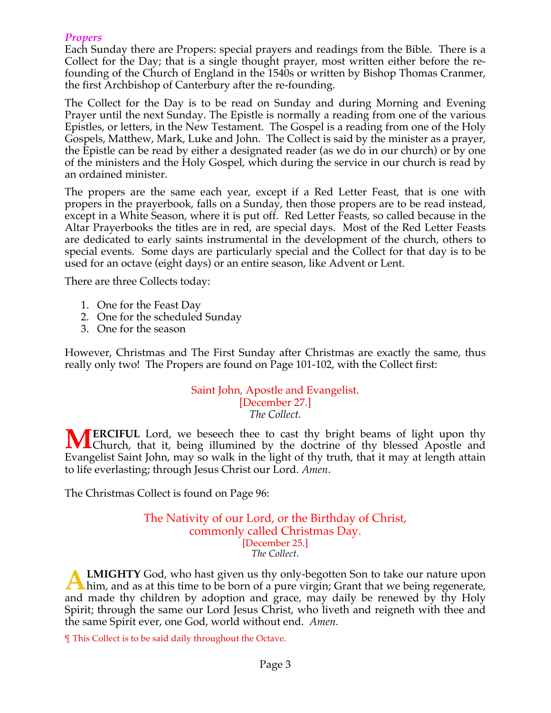# *Propers*

Each Sunday there are Propers: special prayers and readings from the Bible. There is a Collect for the Day; that is a single thought prayer, most written either before the refounding of the Church of England in the 1540s or written by Bishop Thomas Cranmer, the first Archbishop of Canterbury after the re-founding.

The Collect for the Day is to be read on Sunday and during Morning and Evening Prayer until the next Sunday. The Epistle is normally a reading from one of the various Epistles, or letters, in the New Testament. The Gospel is a reading from one of the Holy Gospels, Matthew, Mark, Luke and John. The Collect is said by the minister as a prayer, the Epistle can be read by either a designated reader (as we do in our church) or by one of the ministers and the Holy Gospel, which during the service in our church is read by an ordained minister.

The propers are the same each year, except if a Red Letter Feast, that is one with propers in the prayerbook, falls on a Sunday, then those propers are to be read instead, except in a White Season, where it is put off. Red Letter Feasts, so called because in the Altar Prayerbooks the titles are in red, are special days. Most of the Red Letter Feasts are dedicated to early saints instrumental in the development of the church, others to special events. Some days are particularly special and the Collect for that day is to be used for an octave (eight days) or an entire season, like Advent or Lent.

There are three Collects today:

- 1. One for the Feast Day
- 2. One for the scheduled Sunday
- 3. One for the season

However, Christmas and The First Sunday after Christmas are exactly the same, thus really only two! The Propers are found on Page 101-102, with the Collect first:

#### Saint John, Apostle and Evangelist. [December 27.] *The Collect.*

**ERCIFUL** Lord, we beseech thee to cast thy bright beams of light upon thy **MERCIFUL** Lord, we beseech thee to cast thy bright beams of light upon thy Church, that it, being illumined by the doctrine of thy blessed Apostle and Evangelist Saint John, may so walk in the light of thy truth, that it may at length attain to life everlasting; through Jesus Christ our Lord. *Amen*.

The Christmas Collect is found on Page 96:

#### The Nativity of our Lord, or the Birthday of Christ, commonly called Christmas Day. [December 25.] *The Collect.*

**LMIGHTY** God, who hast given us thy only-begotten Son to take our nature upon **A LMIGHTY** God, who hast given us thy only-begotten Son to take our nature upon him, and as at this time to be born of a pure virgin; Grant that we being regenerate, and made thy children by adoption and grace, may daily be renewed by thy Holy Spirit; through the same our Lord Jesus Christ, who liveth and reigneth with thee and the same Spirit ever, one God, world without end. *Amen.*

¶ This Collect is to be said daily throughout the Octave.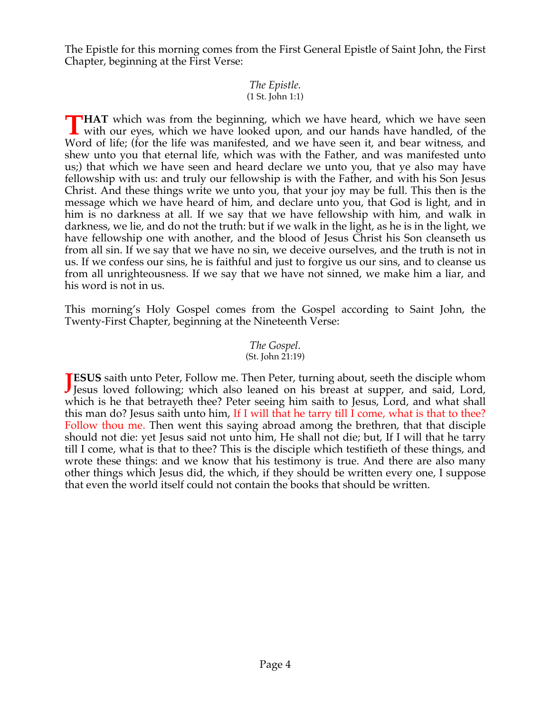The Epistle for this morning comes from the First General Epistle of Saint John, the First Chapter, beginning at the First Verse:

#### *The Epistle.* (1 St. John 1:1)

**HAT** which was from the beginning, which we have heard, which we have seen **THAT** which was from the beginning, which we have heard, which we have seen with our eyes, which we have looked upon, and our hands have handled, of the MAT Word of life; (for the life was manifested, and we have seen it, and bear witness, and shew unto you that eternal life, which was with the Father, and was manifested unto us;) that which we have seen and heard declare we unto you, that ye also may have fellowship with us: and truly our fellowship is with the Father, and with his Son Jesus Christ. And these things write we unto you, that your joy may be full. This then is the message which we have heard of him, and declare unto you, that God is light, and in him is no darkness at all. If we say that we have fellowship with him, and walk in darkness, we lie, and do not the truth: but if we walk in the light, as he is in the light, we have fellowship one with another, and the blood of Jesus Christ his Son cleanseth us from all sin. If we say that we have no sin, we deceive ourselves, and the truth is not in us. If we confess our sins, he is faithful and just to forgive us our sins, and to cleanse us from all unrighteousness. If we say that we have not sinned, we make him a liar, and his word is not in us.

This morning's Holy Gospel comes from the Gospel according to Saint John, the Twenty-First Chapter, beginning at the Nineteenth Verse:

#### *The Gospel.* (St. John 21:19)

**JESUS** saith unto Peter, Follow me. Then Peter, turning about, seeth the disciple whom Jesus loved following; which also leaned on his breast at supper, and said, Lord, **J** Jesus loved following; which also leaned on his breast at supper, and said, Lord, which is he that betrayeth thee? Peter seeing him saith to Jesus, Lord, and what shall this man do? Jesus saith unto him, If I will that he tarry till I come, what is that to thee? Follow thou me. Then went this saying abroad among the brethren, that that disciple should not die: yet Jesus said not unto him, He shall not die; but, If I will that he tarry till I come, what is that to thee? This is the disciple which testifieth of these things, and wrote these things: and we know that his testimony is true. And there are also many other things which Jesus did, the which, if they should be written every one, I suppose that even the world itself could not contain the books that should be written.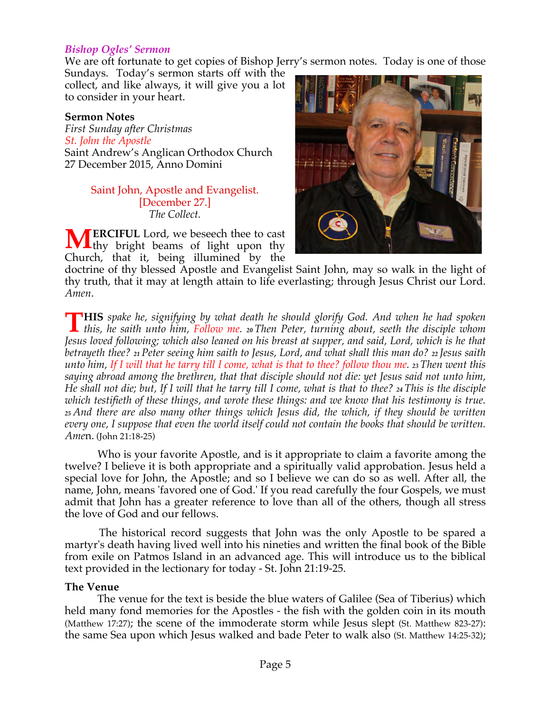#### *Bishop Ogles' Sermon*

We are oft fortunate to get copies of Bishop Jerry's sermon notes. Today is one of those

Sundays. Today's sermon starts off with the collect, and like always, it will give you a lot to consider in your heart.

#### **Sermon Notes**

*First Sunday after Christmas St. John the Apostle* Saint Andrew's Anglican Orthodox Church 27 December 2015, Anno Domini

#### Saint John, Apostle and Evangelist. [December 27.] *The Collect.*

**ERCIFUL** Lord, we beseech thee to cast Ithy bright beams of light upon thy Church, that it, being illumined by the **M**



doctrine of thy blessed Apostle and Evangelist Saint John, may so walk in the light of thy truth, that it may at length attain to life everlasting; through Jesus Christ our Lord. *Amen*.

**HIS** *spake he, signifying by what death he should glorify God. And when he had spoken*  **THIS** spake he, signifying by what death he should glorify God. And when he had spoken this, he saith unto him, Follow me. 20 Then Peter, turning about, seeth the disciple whom *Jesus loved following; which also leaned on his breast at supper, and said, Lord, which is he that betrayeth thee? <sup>21</sup> Peter seeing him saith to Jesus, Lord, and what shall this man do? <sup>22</sup> Jesus saith unto him, If I will that he tarry till I come, what is that to thee? follow thou me. 23 Then went this saying abroad among the brethren, that that disciple should not die: yet Jesus said not unto him, He shall not die; but, If I will that he tarry till I come, what is that to thee? <sup>24</sup> This is the disciple which testifieth of these things, and wrote these things: and we know that his testimony is true. <sup>25</sup> And there are also many other things which Jesus did, the which, if they should be written every one, I suppose that even the world itself could not contain the books that should be written. Ame*n. (John 21:18-25)

 Who is your favorite Apostle, and is it appropriate to claim a favorite among the twelve? I believe it is both appropriate and a spiritually valid approbation. Jesus held a special love for John, the Apostle; and so I believe we can do so as well. After all, the name, John, means 'favored one of God.' If you read carefully the four Gospels, we must admit that John has a greater reference to love than all of the others, though all stress the love of God and our fellows.

 The historical record suggests that John was the only Apostle to be spared a martyr's death having lived well into his nineties and written the final book of the Bible from exile on Patmos Island in an advanced age. This will introduce us to the biblical text provided in the lectionary for today - St. John 21:19-25.

#### **The Venue**

 The venue for the text is beside the blue waters of Galilee (Sea of Tiberius) which held many fond memories for the Apostles - the fish with the golden coin in its mouth (Matthew 17:27); the scene of the immoderate storm while Jesus slept (St. Matthew 823-27): the same Sea upon which Jesus walked and bade Peter to walk also (St. Matthew 14:25-32);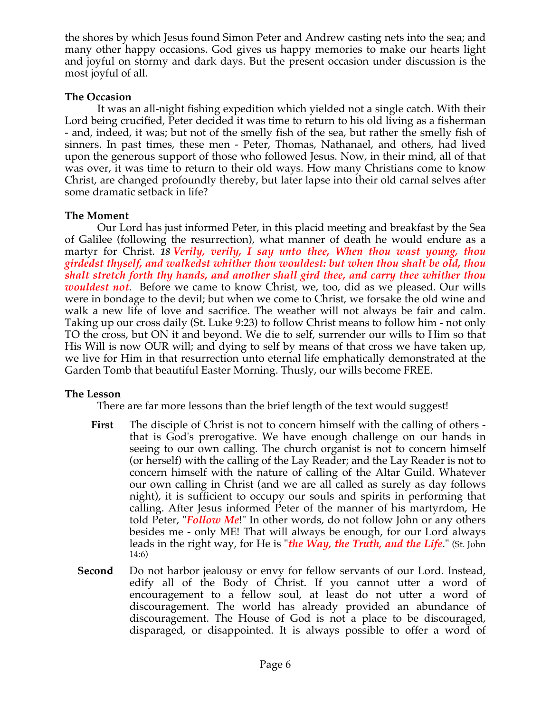the shores by which Jesus found Simon Peter and Andrew casting nets into the sea; and many other happy occasions. God gives us happy memories to make our hearts light and joyful on stormy and dark days. But the present occasion under discussion is the most joyful of all.

# **The Occasion**

 It was an all-night fishing expedition which yielded not a single catch. With their Lord being crucified, Peter decided it was time to return to his old living as a fisherman - and, indeed, it was; but not of the smelly fish of the sea, but rather the smelly fish of sinners. In past times, these men - Peter, Thomas, Nathanael, and others, had lived upon the generous support of those who followed Jesus. Now, in their mind, all of that was over, it was time to return to their old ways. How many Christians come to know Christ, are changed profoundly thereby, but later lapse into their old carnal selves after some dramatic setback in life?

# **The Moment**

 Our Lord has just informed Peter, in this placid meeting and breakfast by the Sea of Galilee (following the resurrection), what manner of death he would endure as a martyr for Christ. *18 Verily, verily, I say unto thee, When thou wast young, thou girdedst thyself, and walkedst whither thou wouldest: but when thou shalt be old, thou shalt stretch forth thy hands, and another shall gird thee, and carry thee whither thou wouldest not.* Before we came to know Christ, we, too, did as we pleased. Our wills were in bondage to the devil; but when we come to Christ, we forsake the old wine and walk a new life of love and sacrifice. The weather will not always be fair and calm. Taking up our cross daily (St. Luke 9:23) to follow Christ means to follow him - not only TO the cross, but ON it and beyond. We die to self, surrender our wills to Him so that His Will is now OUR will; and dying to self by means of that cross we have taken up, we live for Him in that resurrection unto eternal life emphatically demonstrated at the Garden Tomb that beautiful Easter Morning. Thusly, our wills become FREE.

# **The Lesson**

There are far more lessons than the brief length of the text would suggest!

- **First** The disciple of Christ is not to concern himself with the calling of others that is God's prerogative. We have enough challenge on our hands in seeing to our own calling. The church organist is not to concern himself (or herself) with the calling of the Lay Reader; and the Lay Reader is not to concern himself with the nature of calling of the Altar Guild. Whatever our own calling in Christ (and we are all called as surely as day follows night), it is sufficient to occupy our souls and spirits in performing that calling. After Jesus informed Peter of the manner of his martyrdom, He told Peter, "*Follow Me*!" In other words, do not follow John or any others besides me - only ME! That will always be enough, for our Lord always leads in the right way, for He is "*the Way, the Truth, and the Life*." (St. John 14:6)
- **Second** Do not harbor jealousy or envy for fellow servants of our Lord. Instead, edify all of the Body of Christ. If you cannot utter a word of encouragement to a fellow soul, at least do not utter a word of discouragement. The world has already provided an abundance of discouragement. The House of God is not a place to be discouraged, disparaged, or disappointed. It is always possible to offer a word of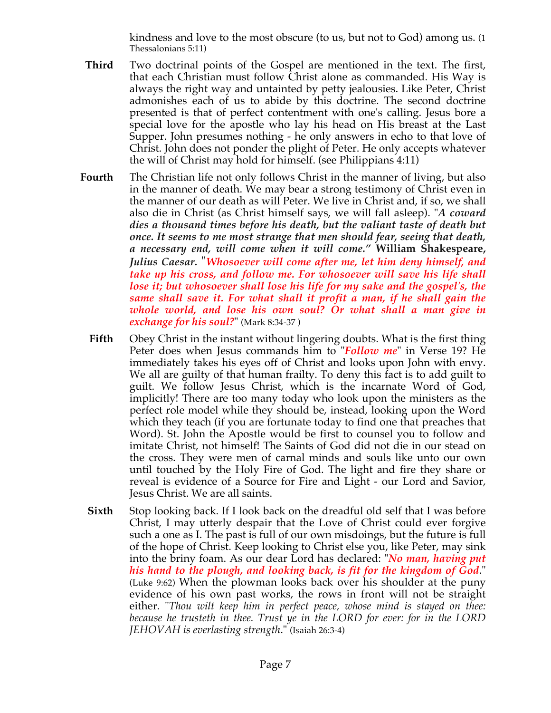kindness and love to the most obscure (to us, but not to God) among us. (1 Thessalonians 5:11)

- **Third** Two doctrinal points of the Gospel are mentioned in the text. The first, that each Christian must follow Christ alone as commanded. His Way is always the right way and untainted by petty jealousies. Like Peter, Christ admonishes each of us to abide by this doctrine. The second doctrine presented is that of perfect contentment with one's calling. Jesus bore a special love for the apostle who lay his head on His breast at the Last Supper. John presumes nothing - he only answers in echo to that love of Christ. John does not ponder the plight of Peter. He only accepts whatever the will of Christ may hold for himself. (see Philippians 4:11)
- **Fourth** The Christian life not only follows Christ in the manner of living, but also in the manner of death. We may bear a strong testimony of Christ even in the manner of our death as will Peter. We live in Christ and, if so, we shall also die in Christ (as Christ himself says, we will fall asleep). "*A coward dies a thousand times before his death, but the valiant taste of death but once. It seems to me most strange that men should fear, seeing that death, a necessary end, will come when it will come."* **William Shakespeare,**  *Julius Caesar***.** "*Whosoever will come after me, let him deny himself, and take up his cross, and follow me. For whosoever will save his life shall lose it; but whosoever shall lose his life for my sake and the gospel's, the same shall save it. For what shall it profit a man, if he shall gain the whole world, and lose his own soul? Or what shall a man give in exchange for his soul?*" (Mark 8:34-37 )
	- **Fifth** Obey Christ in the instant without lingering doubts. What is the first thing Peter does when Jesus commands him to "*Follow me*" in Verse 19? He immediately takes his eyes off of Christ and looks upon John with envy. We all are guilty of that human frailty. To deny this fact is to add guilt to guilt. We follow Jesus Christ, which is the incarnate Word of God, implicitly! There are too many today who look upon the ministers as the perfect role model while they should be, instead, looking upon the Word which they teach (if you are fortunate today to find one that preaches that Word). St. John the Apostle would be first to counsel you to follow and imitate Christ, not himself! The Saints of God did not die in our stead on the cross. They were men of carnal minds and souls like unto our own until touched by the Holy Fire of God. The light and fire they share or reveal is evidence of a Source for Fire and Light - our Lord and Savior, Jesus Christ. We are all saints.
	- **Sixth** Stop looking back. If I look back on the dreadful old self that I was before Christ, I may utterly despair that the Love of Christ could ever forgive such a one as I. The past is full of our own misdoings, but the future is full of the hope of Christ. Keep looking to Christ else you, like Peter, may sink into the briny foam. As our dear Lord has declared: "*No man, having put his hand to the plough, and looking back, is fit for the kingdom of God*." (Luke 9:62) When the plowman looks back over his shoulder at the puny evidence of his own past works, the rows in front will not be straight either. "*Thou wilt keep him in perfect peace, whose mind is stayed on thee: because he trusteth in thee. Trust ye in the LORD for ever: for in the LORD JEHOVAH is everlasting strength*." (Isaiah 26:3-4)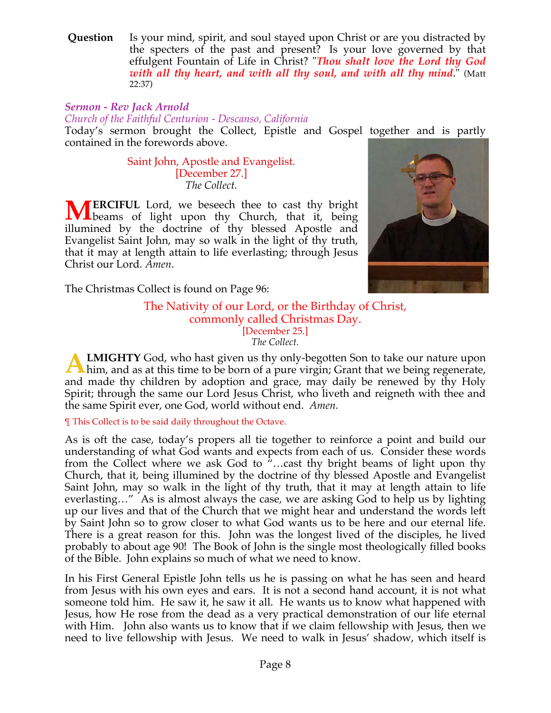**Question** Is your mind, spirit, and soul stayed upon Christ or are you distracted by the specters of the past and present? Is your love governed by that effulgent Fountain of Life in Christ? "*Thou shalt love the Lord thy God with all thy heart, and with all thy soul, and with all thy mind*." (Matt 22:37)

# *Sermon - Rev Jack Arnold*

*Church of the Faithful Centurion - Descanso, California*

Today's sermon brought the Collect, Epistle and Gospel together and is partly contained in the forewords above.

> Saint John, Apostle and Evangelist. [December 27.] *The Collect.*

**ERCIFUL** Lord, we beseech thee to cast thy bright **MERCIFUL** Lord, we beseech thee to cast thy bright beams of light upon thy Church, that it, being illumined by the doctrine of thy blessed Apostle and Evangelist Saint John, may so walk in the light of thy truth, that it may at length attain to life everlasting; through Jesus Christ our Lord. *Amen*.



The Christmas Collect is found on Page 96:

#### The Nativity of our Lord, or the Birthday of Christ, commonly called Christmas Day. [December 25.] *The Collect.*

**LMIGHTY** God, who hast given us thy only-begotten Son to take our nature upon **A LMIGHTY** God, who hast given us thy only-begotten Son to take our nature upon him, and as at this time to be born of a pure virgin; Grant that we being regenerate, and made thy children by adoption and grace, may daily be renewed by thy Holy Spirit; through the same our Lord Jesus Christ, who liveth and reigneth with thee and the same Spirit ever, one God, world without end. *Amen.*

¶ This Collect is to be said daily throughout the Octave.

As is oft the case, today's propers all tie together to reinforce a point and build our understanding of what God wants and expects from each of us. Consider these words from the Collect where we ask God to "…cast thy bright beams of light upon thy Church, that it, being illumined by the doctrine of thy blessed Apostle and Evangelist Saint John, may so walk in the light of thy truth, that it may at length attain to life everlasting…" As is almost always the case, we are asking God to help us by lighting up our lives and that of the Church that we might hear and understand the words left by Saint John so to grow closer to what God wants us to be here and our eternal life. There is a great reason for this. John was the longest lived of the disciples, he lived probably to about age 90! The Book of John is the single most theologically filled books of the Bible. John explains so much of what we need to know.

In his First General Epistle John tells us he is passing on what he has seen and heard from Jesus with his own eyes and ears. It is not a second hand account, it is not what someone told him. He saw it, he saw it all. He wants us to know what happened with Jesus, how He rose from the dead as a very practical demonstration of our life eternal with Him. John also wants us to know that if we claim fellowship with Jesus, then we need to live fellowship with Jesus. We need to walk in Jesus' shadow, which itself is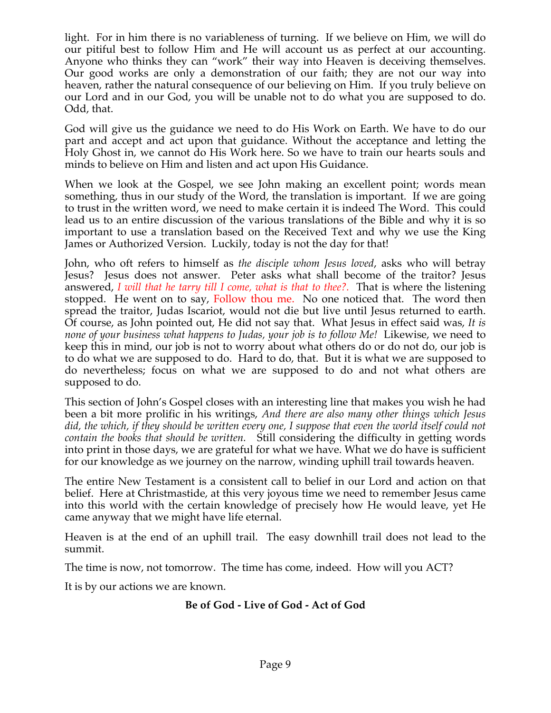light. For in him there is no variableness of turning. If we believe on Him, we will do our pitiful best to follow Him and He will account us as perfect at our accounting. Anyone who thinks they can "work" their way into Heaven is deceiving themselves. Our good works are only a demonstration of our faith; they are not our way into heaven, rather the natural consequence of our believing on Him. If you truly believe on our Lord and in our God, you will be unable not to do what you are supposed to do. Odd, that.

God will give us the guidance we need to do His Work on Earth. We have to do our part and accept and act upon that guidance. Without the acceptance and letting the Holy Ghost in, we cannot do His Work here. So we have to train our hearts souls and minds to believe on Him and listen and act upon His Guidance.

When we look at the Gospel, we see John making an excellent point; words mean something, thus in our study of the Word, the translation is important. If we are going to trust in the written word, we need to make certain it is indeed The Word. This could lead us to an entire discussion of the various translations of the Bible and why it is so important to use a translation based on the Received Text and why we use the King James or Authorized Version. Luckily, today is not the day for that!

John, who oft refers to himself as *the disciple whom Jesus loved*, asks who will betray Jesus? Jesus does not answer. Peter asks what shall become of the traitor? Jesus answered, *I will that he tarry till I come, what is that to thee?.* That is where the listening stopped. He went on to say, Follow thou me. No one noticed that. The word then spread the traitor, Judas Iscariot, would not die but live until Jesus returned to earth. Of course, as John pointed out, He did not say that. What Jesus in effect said was, *It is none of your business what happens to Judas, your job is to follow Me!* Likewise, we need to keep this in mind, our job is not to worry about what others do or do not do, our job is to do what we are supposed to do. Hard to do, that. But it is what we are supposed to do nevertheless; focus on what we are supposed to do and not what others are supposed to do.

This section of John's Gospel closes with an interesting line that makes you wish he had been a bit more prolific in his writings, *And there are also many other things which Jesus*  did, the which, if they should be written every one, I suppose that even the world itself could not *contain the books that should be written.* Still considering the difficulty in getting words into print in those days, we are grateful for what we have. What we do have is sufficient for our knowledge as we journey on the narrow, winding uphill trail towards heaven.

The entire New Testament is a consistent call to belief in our Lord and action on that belief. Here at Christmastide, at this very joyous time we need to remember Jesus came into this world with the certain knowledge of precisely how He would leave, yet He came anyway that we might have life eternal.

Heaven is at the end of an uphill trail. The easy downhill trail does not lead to the summit.

The time is now, not tomorrow. The time has come, indeed. How will you ACT?

It is by our actions we are known.

# **Be of God - Live of God - Act of God**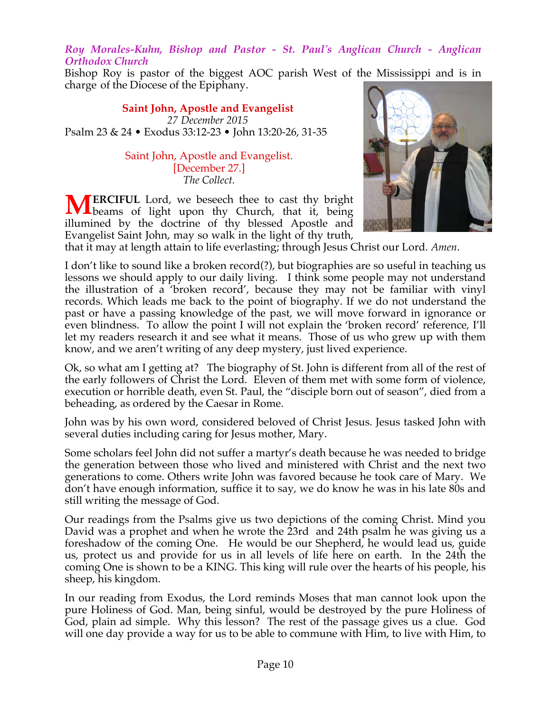*Roy Morales-Kuhn, Bishop and Pastor - St. Paul's Anglican Church - Anglican Orthodox Church*

Bishop Roy is pastor of the biggest AOC parish West of the Mississippi and is in charge of the Diocese of the Epiphany.

**Saint John, Apostle and Evangelist** *27 December 2015* Psalm 23 & 24 • Exodus 33:12-23 • John 13:20-26, 31-35

> Saint John, Apostle and Evangelist. [December 27.] *The Collect.*

**ERCIFUL** Lord, we beseech thee to cast thy bright **MERCIFUL** Lord, we beseech thee to cast thy bright beams of light upon thy Church, that it, being illumined by the doctrine of thy blessed Apostle and Evangelist Saint John, may so walk in the light of thy truth,



that it may at length attain to life everlasting; through Jesus Christ our Lord. *Amen*.

I don't like to sound like a broken record(?), but biographies are so useful in teaching us lessons we should apply to our daily living. I think some people may not understand the illustration of a 'broken record', because they may not be familiar with vinyl records. Which leads me back to the point of biography. If we do not understand the past or have a passing knowledge of the past, we will move forward in ignorance or even blindness. To allow the point I will not explain the 'broken record' reference, I'll let my readers research it and see what it means. Those of us who grew up with them know, and we aren't writing of any deep mystery, just lived experience.

Ok, so what am I getting at? The biography of St. John is different from all of the rest of the early followers of Christ the Lord. Eleven of them met with some form of violence, execution or horrible death, even St. Paul, the "disciple born out of season", died from a beheading, as ordered by the Caesar in Rome.

John was by his own word, considered beloved of Christ Jesus. Jesus tasked John with several duties including caring for Jesus mother, Mary.

Some scholars feel John did not suffer a martyr's death because he was needed to bridge the generation between those who lived and ministered with Christ and the next two generations to come. Others write John was favored because he took care of Mary. We don't have enough information, suffice it to say, we do know he was in his late 80s and still writing the message of God.

Our readings from the Psalms give us two depictions of the coming Christ. Mind you David was a prophet and when he wrote the 23rd and 24th psalm he was giving us a foreshadow of the coming One. He would be our Shepherd, he would lead us, guide us, protect us and provide for us in all levels of life here on earth. In the 24th the coming One is shown to be a KING. This king will rule over the hearts of his people, his sheep, his kingdom.

In our reading from Exodus, the Lord reminds Moses that man cannot look upon the pure Holiness of God. Man, being sinful, would be destroyed by the pure Holiness of God, plain ad simple. Why this lesson? The rest of the passage gives us a clue. God will one day provide a way for us to be able to commune with Him, to live with Him, to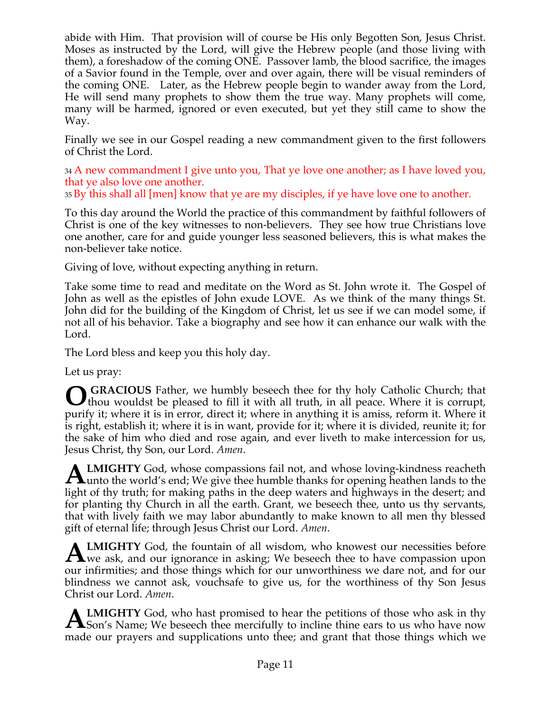abide with Him. That provision will of course be His only Begotten Son, Jesus Christ. Moses as instructed by the Lord, will give the Hebrew people (and those living with them), a foreshadow of the coming ONE. Passover lamb, the blood sacrifice, the images of a Savior found in the Temple, over and over again, there will be visual reminders of the coming ONE. Later, as the Hebrew people begin to wander away from the Lord, He will send many prophets to show them the true way. Many prophets will come, many will be harmed, ignored or even executed, but yet they still came to show the Way.

Finally we see in our Gospel reading a new commandment given to the first followers of Christ the Lord.

34 A new commandment I give unto you, That ye love one another; as I have loved you, that ye also love one another.

35 By this shall all [men] know that ye are my disciples, if ye have love one to another.

To this day around the World the practice of this commandment by faithful followers of Christ is one of the key witnesses to non-believers. They see how true Christians love one another, care for and guide younger less seasoned believers, this is what makes the non-believer take notice.

Giving of love, without expecting anything in return.

Take some time to read and meditate on the Word as St. John wrote it. The Gospel of John as well as the epistles of John exude LOVE. As we think of the many things St. John did for the building of the Kingdom of Christ, let us see if we can model some, if not all of his behavior. Take a biography and see how it can enhance our walk with the Lord.

The Lord bless and keep you this holy day.

Let us pray:

 **GRACIOUS** Father, we humbly beseech thee for thy holy Catholic Church; that **O** GRACIOUS Father, we humbly beseech thee for thy holy Catholic Church; that thou wouldst be pleased to fill it with all truth, in all peace. Where it is corrupt, purify it; where it is in error, direct it; where in anything it is amiss, reform it. Where it is right, establish it; where it is in want, provide for it; where it is divided, reunite it; for the sake of him who died and rose again, and ever liveth to make intercession for us, Jesus Christ, thy Son, our Lord. *Amen*.

**LMIGHTY** God, whose compassions fail not, and whose loving-kindness reacheth **ALMIGHTY** God, whose compassions fail not, and whose loving-kindness reacheth unto the world's end; We give thee humble thanks for opening heathen lands to the light of thy truth; for making paths in the deep waters and highways in the desert; and for planting thy Church in all the earth. Grant, we beseech thee, unto us thy servants, that with lively faith we may labor abundantly to make known to all men thy blessed gift of eternal life; through Jesus Christ our Lord. *Amen*.

**LMIGHTY** God, the fountain of all wisdom, who knowest our necessities before **ALMIGHTY** God, the fountain of all wisdom, who knowest our necessities before we ask, and our ignorance in asking; We beseech thee to have compassion upon our infirmities; and those things which for our unworthiness we dare not, and for our blindness we cannot ask, vouchsafe to give us, for the worthiness of thy Son Jesus Christ our Lord. *Amen*.

**LMIGHTY** God, who hast promised to hear the petitions of those who ask in thy **ALMIGHTY** God, who hast promised to hear the petitions of those who ask in thy Son's Name; We beseech thee mercifully to incline thine ears to us who have now made our prayers and supplications unto thee; and grant that those things which we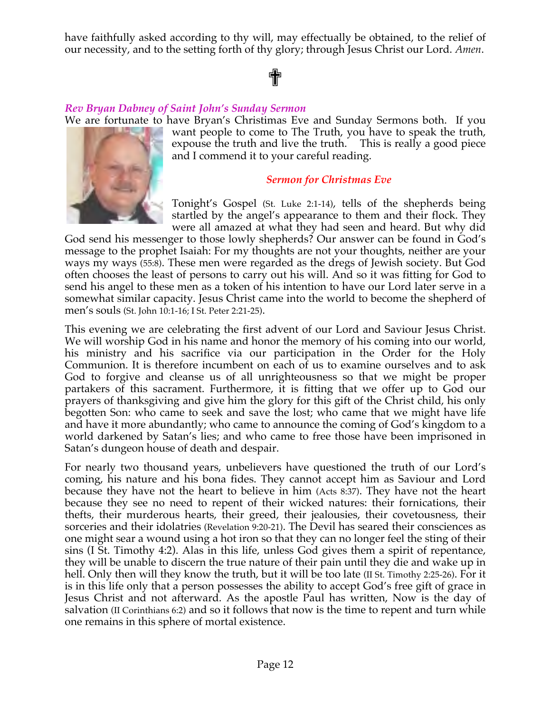have faithfully asked according to thy will, may effectually be obtained, to the relief of our necessity, and to the setting forth of thy glory; through Jesus Christ our Lord. *Amen*.

# ✟

# *Rev Bryan Dabney of Saint John's Sunday Sermon*

We are fortunate to have Bryan's Christimas Eve and Sunday Sermons both. If you



want people to come to The Truth, you have to speak the truth, expouse the truth and live the truth. This is really a good piece and I commend it to your careful reading.

#### *Sermon for Christmas Eve*

Tonight's Gospel (St. Luke 2:1-14), tells of the shepherds being startled by the angel's appearance to them and their flock. They were all amazed at what they had seen and heard. But why did

God send his messenger to those lowly shepherds? Our answer can be found in God's message to the prophet Isaiah: For my thoughts are not your thoughts, neither are your ways my ways (55:8). These men were regarded as the dregs of Jewish society. But God often chooses the least of persons to carry out his will. And so it was fitting for God to send his angel to these men as a token of his intention to have our Lord later serve in a somewhat similar capacity. Jesus Christ came into the world to become the shepherd of men's souls (St. John 10:1-16; I St. Peter 2:21-25).

This evening we are celebrating the first advent of our Lord and Saviour Jesus Christ. We will worship God in his name and honor the memory of his coming into our world, his ministry and his sacrifice via our participation in the Order for the Holy Communion. It is therefore incumbent on each of us to examine ourselves and to ask God to forgive and cleanse us of all unrighteousness so that we might be proper partakers of this sacrament. Furthermore, it is fitting that we offer up to God our prayers of thanksgiving and give him the glory for this gift of the Christ child, his only begotten Son: who came to seek and save the lost; who came that we might have life and have it more abundantly; who came to announce the coming of God's kingdom to a world darkened by Satan's lies; and who came to free those have been imprisoned in Satan's dungeon house of death and despair.

For nearly two thousand years, unbelievers have questioned the truth of our Lord's coming, his nature and his bona fides. They cannot accept him as Saviour and Lord because they have not the heart to believe in him (Acts 8:37). They have not the heart because they see no need to repent of their wicked natures: their fornications, their thefts, their murderous hearts, their greed, their jealousies, their covetousness, their sorceries and their idolatries (Revelation 9:20-21). The Devil has seared their consciences as one might sear a wound using a hot iron so that they can no longer feel the sting of their sins (I St. Timothy 4:2). Alas in this life, unless God gives them a spirit of repentance, they will be unable to discern the true nature of their pain until they die and wake up in hell. Only then will they know the truth, but it will be too late (II St. Timothy 2:25-26). For it is in this life only that a person possesses the ability to accept God's free gift of grace in Jesus Christ and not afterward. As the apostle Paul has written, Now is the day of salvation (II Corinthians 6:2) and so it follows that now is the time to repent and turn while one remains in this sphere of mortal existence.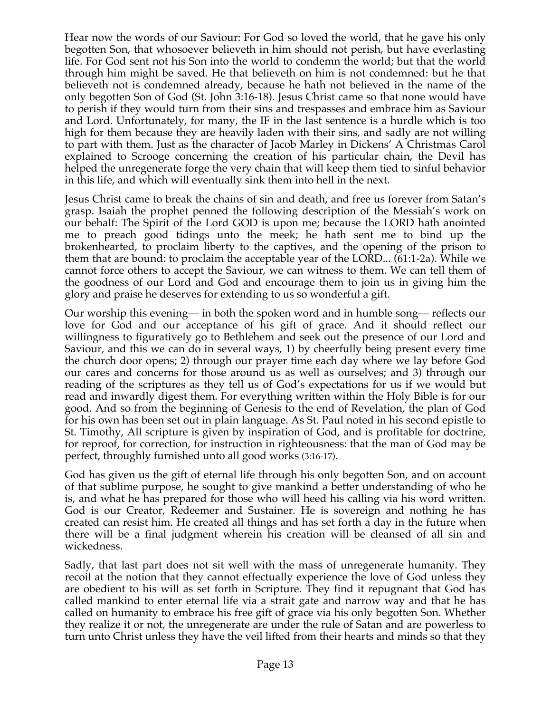Hear now the words of our Saviour: For God so loved the world, that he gave his only begotten Son, that whosoever believeth in him should not perish, but have everlasting life. For God sent not his Son into the world to condemn the world; but that the world through him might be saved. He that believeth on him is not condemned: but he that believeth not is condemned already, because he hath not believed in the name of the only begotten Son of God (St. John 3:16-18). Jesus Christ came so that none would have to perish if they would turn from their sins and trespasses and embrace him as Saviour and Lord. Unfortunately, for many, the IF in the last sentence is a hurdle which is too high for them because they are heavily laden with their sins, and sadly are not willing to part with them. Just as the character of Jacob Marley in Dickens' A Christmas Carol explained to Scrooge concerning the creation of his particular chain, the Devil has helped the unregenerate forge the very chain that will keep them tied to sinful behavior in this life, and which will eventually sink them into hell in the next.

Jesus Christ came to break the chains of sin and death, and free us forever from Satan's grasp. Isaiah the prophet penned the following description of the Messiah's work on our behalf: The Spirit of the Lord GOD is upon me; because the LORD hath anointed me to preach good tidings unto the meek; he hath sent me to bind up the brokenhearted, to proclaim liberty to the captives, and the opening of the prison to them that are bound: to proclaim the acceptable year of the LORD... (61:1-2a). While we cannot force others to accept the Saviour, we can witness to them. We can tell them of the goodness of our Lord and God and encourage them to join us in giving him the glory and praise he deserves for extending to us so wonderful a gift.

Our worship this evening— in both the spoken word and in humble song— reflects our love for God and our acceptance of his gift of grace. And it should reflect our willingness to figuratively go to Bethlehem and seek out the presence of our Lord and Saviour, and this we can do in several ways, 1) by cheerfully being present every time the church door opens; 2) through our prayer time each day where we lay before God our cares and concerns for those around us as well as ourselves; and 3) through our reading of the scriptures as they tell us of God's expectations for us if we would but read and inwardly digest them. For everything written within the Holy Bible is for our good. And so from the beginning of Genesis to the end of Revelation, the plan of God for his own has been set out in plain language. As St. Paul noted in his second epistle to St. Timothy, All scripture is given by inspiration of God, and is profitable for doctrine, for reproof, for correction, for instruction in righteousness: that the man of God may be perfect, throughly furnished unto all good works (3:16-17).

God has given us the gift of eternal life through his only begotten Son, and on account of that sublime purpose, he sought to give mankind a better understanding of who he is, and what he has prepared for those who will heed his calling via his word written. God is our Creator, Redeemer and Sustainer. He is sovereign and nothing he has created can resist him. He created all things and has set forth a day in the future when there will be a final judgment wherein his creation will be cleansed of all sin and wickedness.

Sadly, that last part does not sit well with the mass of unregenerate humanity. They recoil at the notion that they cannot effectually experience the love of God unless they are obedient to his will as set forth in Scripture. They find it repugnant that God has called mankind to enter eternal life via a strait gate and narrow way and that he has called on humanity to embrace his free gift of grace via his only begotten Son. Whether they realize it or not, the unregenerate are under the rule of Satan and are powerless to turn unto Christ unless they have the veil lifted from their hearts and minds so that they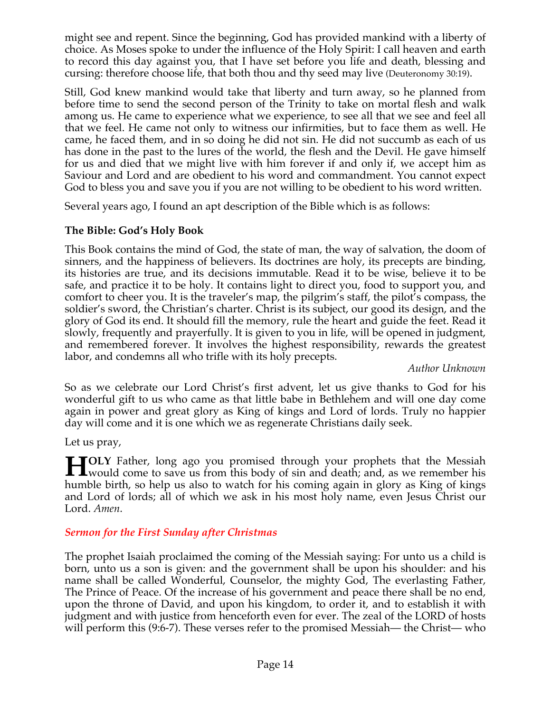might see and repent. Since the beginning, God has provided mankind with a liberty of choice. As Moses spoke to under the influence of the Holy Spirit: I call heaven and earth to record this day against you, that I have set before you life and death, blessing and cursing: therefore choose life, that both thou and thy seed may live (Deuteronomy 30:19).

Still, God knew mankind would take that liberty and turn away, so he planned from before time to send the second person of the Trinity to take on mortal flesh and walk among us. He came to experience what we experience, to see all that we see and feel all that we feel. He came not only to witness our infirmities, but to face them as well. He came, he faced them, and in so doing he did not sin. He did not succumb as each of us has done in the past to the lures of the world, the flesh and the Devil. He gave himself for us and died that we might live with him forever if and only if, we accept him as Saviour and Lord and are obedient to his word and commandment. You cannot expect God to bless you and save you if you are not willing to be obedient to his word written.

Several years ago, I found an apt description of the Bible which is as follows:

# **The Bible: God's Holy Book**

This Book contains the mind of God, the state of man, the way of salvation, the doom of sinners, and the happiness of believers. Its doctrines are holy, its precepts are binding, its histories are true, and its decisions immutable. Read it to be wise, believe it to be safe, and practice it to be holy. It contains light to direct you, food to support you, and comfort to cheer you. It is the traveler's map, the pilgrim's staff, the pilot's compass, the soldier's sword, the Christian's charter. Christ is its subject, our good its design, and the glory of God its end. It should fill the memory, rule the heart and guide the feet. Read it slowly, frequently and prayerfully. It is given to you in life, will be opened in judgment, and remembered forever. It involves the highest responsibility, rewards the greatest labor, and condemns all who trifle with its holy precepts.

# *Author Unknown*

So as we celebrate our Lord Christ's first advent, let us give thanks to God for his wonderful gift to us who came as that little babe in Bethlehem and will one day come again in power and great glory as King of kings and Lord of lords. Truly no happier day will come and it is one which we as regenerate Christians daily seek.

Let us pray,

**OLY** Father, long ago you promised through your prophets that the Messiah **HOLY** Father, long ago you promised through your prophets that the Messiah would come to save us from this body of sin and death; and, as we remember his handle highly highly highly highly highly highly highly highly high humble birth, so help us also to watch for his coming again in glory as King of kings and Lord of lords; all of which we ask in his most holy name, even Jesus Christ our Lord. *Amen*.

# *Sermon for the First Sunday after Christmas*

The prophet Isaiah proclaimed the coming of the Messiah saying: For unto us a child is born, unto us a son is given: and the government shall be upon his shoulder: and his name shall be called Wonderful, Counselor, the mighty God, The everlasting Father, The Prince of Peace. Of the increase of his government and peace there shall be no end, upon the throne of David, and upon his kingdom, to order it, and to establish it with judgment and with justice from henceforth even for ever. The zeal of the LORD of hosts will perform this (9:6-7). These verses refer to the promised Messiah— the Christ— who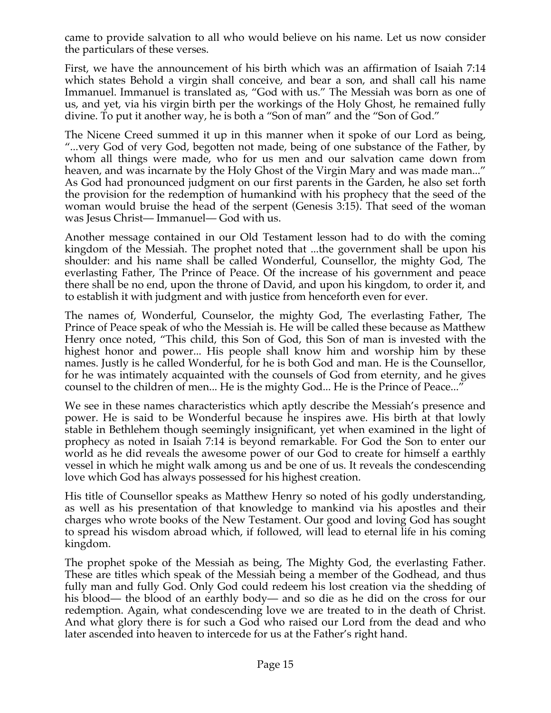came to provide salvation to all who would believe on his name. Let us now consider the particulars of these verses.

First, we have the announcement of his birth which was an affirmation of Isaiah 7:14 which states Behold a virgin shall conceive, and bear a son, and shall call his name Immanuel. Immanuel is translated as, "God with us." The Messiah was born as one of us, and yet, via his virgin birth per the workings of the Holy Ghost, he remained fully divine. To put it another way, he is both a "Son of man" and the "Son of God."

The Nicene Creed summed it up in this manner when it spoke of our Lord as being, "...very God of very God, begotten not made, being of one substance of the Father, by whom all things were made, who for us men and our salvation came down from heaven, and was incarnate by the Holy Ghost of the Virgin Mary and was made man..." As God had pronounced judgment on our first parents in the Garden, he also set forth the provision for the redemption of humankind with his prophecy that the seed of the woman would bruise the head of the serpent (Genesis 3:15). That seed of the woman was Jesus Christ— Immanuel— God with us.

Another message contained in our Old Testament lesson had to do with the coming kingdom of the Messiah. The prophet noted that ...the government shall be upon his shoulder: and his name shall be called Wonderful, Counsellor, the mighty God, The everlasting Father, The Prince of Peace. Of the increase of his government and peace there shall be no end, upon the throne of David, and upon his kingdom, to order it, and to establish it with judgment and with justice from henceforth even for ever.

The names of, Wonderful, Counselor, the mighty God, The everlasting Father, The Prince of Peace speak of who the Messiah is. He will be called these because as Matthew Henry once noted, "This child, this Son of God, this Son of man is invested with the highest honor and power... His people shall know him and worship him by these names. Justly is he called Wonderful, for he is both God and man. He is the Counsellor, for he was intimately acquainted with the counsels of God from eternity, and he gives counsel to the children of men... He is the mighty God... He is the Prince of Peace..."

We see in these names characteristics which aptly describe the Messiah's presence and power. He is said to be Wonderful because he inspires awe. His birth at that lowly stable in Bethlehem though seemingly insignificant, yet when examined in the light of prophecy as noted in Isaiah 7:14 is beyond remarkable. For God the Son to enter our world as he did reveals the awesome power of our God to create for himself a earthly vessel in which he might walk among us and be one of us. It reveals the condescending love which God has always possessed for his highest creation.

His title of Counsellor speaks as Matthew Henry so noted of his godly understanding, as well as his presentation of that knowledge to mankind via his apostles and their charges who wrote books of the New Testament. Our good and loving God has sought to spread his wisdom abroad which, if followed, will lead to eternal life in his coming kingdom.

The prophet spoke of the Messiah as being, The Mighty God, the everlasting Father. These are titles which speak of the Messiah being a member of the Godhead, and thus fully man and fully God. Only God could redeem his lost creation via the shedding of his blood— the blood of an earthly body— and so die as he did on the cross for our redemption. Again, what condescending love we are treated to in the death of Christ. And what glory there is for such a God who raised our Lord from the dead and who later ascended into heaven to intercede for us at the Father's right hand.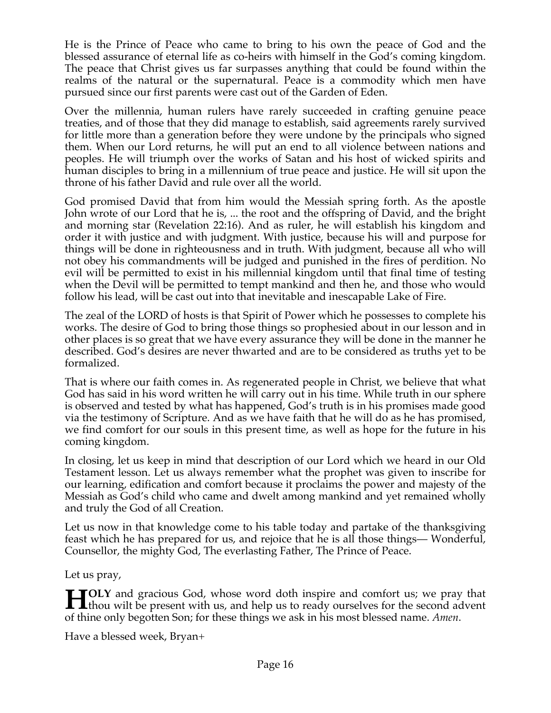He is the Prince of Peace who came to bring to his own the peace of God and the blessed assurance of eternal life as co-heirs with himself in the God's coming kingdom. The peace that Christ gives us far surpasses anything that could be found within the realms of the natural or the supernatural. Peace is a commodity which men have pursued since our first parents were cast out of the Garden of Eden.

Over the millennia, human rulers have rarely succeeded in crafting genuine peace treaties, and of those that they did manage to establish, said agreements rarely survived for little more than a generation before they were undone by the principals who signed them. When our Lord returns, he will put an end to all violence between nations and peoples. He will triumph over the works of Satan and his host of wicked spirits and human disciples to bring in a millennium of true peace and justice. He will sit upon the throne of his father David and rule over all the world.

God promised David that from him would the Messiah spring forth. As the apostle John wrote of our Lord that he is, ... the root and the offspring of David, and the bright and morning star (Revelation 22:16). And as ruler, he will establish his kingdom and order it with justice and with judgment. With justice, because his will and purpose for things will be done in righteousness and in truth. With judgment, because all who will not obey his commandments will be judged and punished in the fires of perdition. No evil will be permitted to exist in his millennial kingdom until that final time of testing when the Devil will be permitted to tempt mankind and then he, and those who would follow his lead, will be cast out into that inevitable and inescapable Lake of Fire.

The zeal of the LORD of hosts is that Spirit of Power which he possesses to complete his works. The desire of God to bring those things so prophesied about in our lesson and in other places is so great that we have every assurance they will be done in the manner he described. God's desires are never thwarted and are to be considered as truths yet to be formalized.

That is where our faith comes in. As regenerated people in Christ, we believe that what God has said in his word written he will carry out in his time. While truth in our sphere is observed and tested by what has happened, God's truth is in his promises made good via the testimony of Scripture. And as we have faith that he will do as he has promised, we find comfort for our souls in this present time, as well as hope for the future in his coming kingdom.

In closing, let us keep in mind that description of our Lord which we heard in our Old Testament lesson. Let us always remember what the prophet was given to inscribe for our learning, edification and comfort because it proclaims the power and majesty of the Messiah as God's child who came and dwelt among mankind and yet remained wholly and truly the God of all Creation.

Let us now in that knowledge come to his table today and partake of the thanksgiving feast which he has prepared for us, and rejoice that he is all those things— Wonderful, Counsellor, the mighty God, The everlasting Father, The Prince of Peace.

Let us pray,

**OLY** and gracious God, whose word doth inspire and comfort us; we pray that **the H** CLY and gracious God, whose word doth inspire and comfort us; we pray that thou wilt be present with us, and help us to ready ourselves for the second advent of thine only begotten Son; for these things we ask in his most blessed name. *Amen*.

Have a blessed week, Bryan+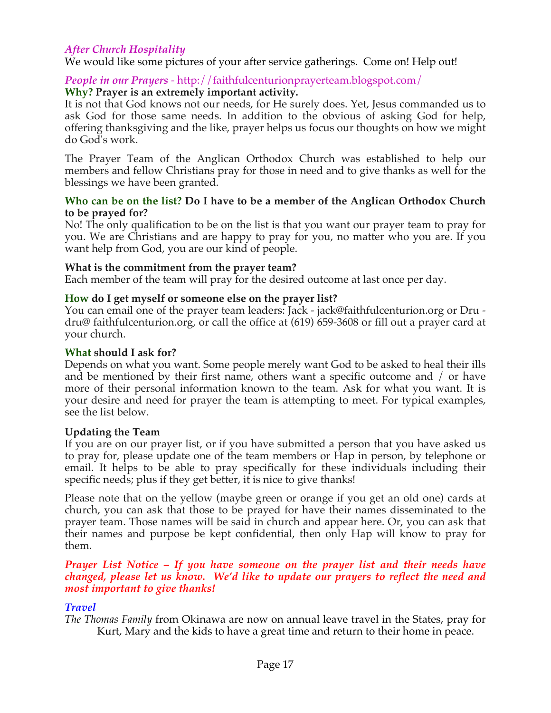# *After Church Hospitality*

We would like some pictures of your after service gatherings. Come on! Help out!

# *People in our Prayers* - http://faithfulcenturionprayerteam.blogspot.com/

### **Why? Prayer is an extremely important activity.**

It is not that God knows not our needs, for He surely does. Yet, Jesus commanded us to ask God for those same needs. In addition to the obvious of asking God for help, offering thanksgiving and the like, prayer helps us focus our thoughts on how we might do God's work.

The Prayer Team of the Anglican Orthodox Church was established to help our members and fellow Christians pray for those in need and to give thanks as well for the blessings we have been granted.

#### **Who can be on the list? Do I have to be a member of the Anglican Orthodox Church to be prayed for?**

No! The only qualification to be on the list is that you want our prayer team to pray for you. We are Christians and are happy to pray for you, no matter who you are. If you want help from God, you are our kind of people.

#### **What is the commitment from the prayer team?**

Each member of the team will pray for the desired outcome at last once per day.

#### **How do I get myself or someone else on the prayer list?**

You can email one of the prayer team leaders: Jack - jack@faithfulcenturion.org or Dru dru@ faithfulcenturion.org, or call the office at (619) 659-3608 or fill out a prayer card at your church.

### **What should I ask for?**

Depends on what you want. Some people merely want God to be asked to heal their ills and be mentioned by their first name, others want a specific outcome and / or have more of their personal information known to the team. Ask for what you want. It is your desire and need for prayer the team is attempting to meet. For typical examples, see the list below.

#### **Updating the Team**

If you are on our prayer list, or if you have submitted a person that you have asked us to pray for, please update one of the team members or Hap in person, by telephone or email. It helps to be able to pray specifically for these individuals including their specific needs; plus if they get better, it is nice to give thanks!

Please note that on the yellow (maybe green or orange if you get an old one) cards at church, you can ask that those to be prayed for have their names disseminated to the prayer team. Those names will be said in church and appear here. Or, you can ask that their names and purpose be kept confidential, then only Hap will know to pray for them.

#### *Prayer List Notice – If you have someone on the prayer list and their needs have changed, please let us know. We'd like to update our prayers to reflect the need and most important to give thanks!*

# *Travel*

*The Thomas Family* from Okinawa are now on annual leave travel in the States, pray for Kurt, Mary and the kids to have a great time and return to their home in peace.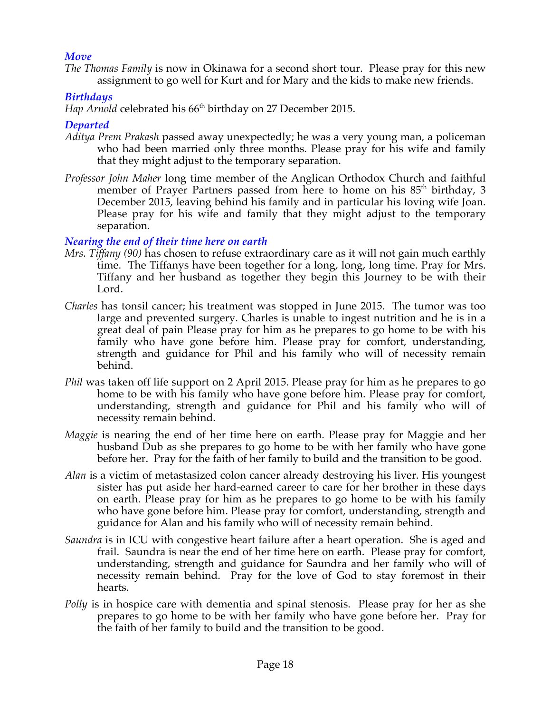# *Move*

*The Thomas Family* is now in Okinawa for a second short tour. Please pray for this new assignment to go well for Kurt and for Mary and the kids to make new friends.

# *Birthdays*

*Hap Arnold* celebrated his 66<sup>th</sup> birthday on 27 December 2015.

# *Departed*

- *Aditya Prem Prakash* passed away unexpectedly; he was a very young man, a policeman who had been married only three months. Please pray for his wife and family that they might adjust to the temporary separation.
- *Professor John Maher* long time member of the Anglican Orthodox Church and faithful member of Prayer Partners passed from here to home on his 85<sup>th</sup> birthday, 3 December 2015, leaving behind his family and in particular his loving wife Joan. Please pray for his wife and family that they might adjust to the temporary separation.

# *Nearing the end of their time here on earth*

- *Mrs. Tiffany (90)* has chosen to refuse extraordinary care as it will not gain much earthly time. The Tiffanys have been together for a long, long, long time. Pray for Mrs. Tiffany and her husband as together they begin this Journey to be with their Lord.
- *Charles* has tonsil cancer; his treatment was stopped in June 2015. The tumor was too large and prevented surgery. Charles is unable to ingest nutrition and he is in a great deal of pain Please pray for him as he prepares to go home to be with his family who have gone before him. Please pray for comfort, understanding, strength and guidance for Phil and his family who will of necessity remain behind.
- *Phil* was taken off life support on 2 April 2015. Please pray for him as he prepares to go home to be with his family who have gone before him. Please pray for comfort, understanding, strength and guidance for Phil and his family who will of necessity remain behind.
- *Maggie* is nearing the end of her time here on earth. Please pray for Maggie and her husband Dub as she prepares to go home to be with her family who have gone before her. Pray for the faith of her family to build and the transition to be good.
- *Alan* is a victim of metastasized colon cancer already destroying his liver. His youngest sister has put aside her hard-earned career to care for her brother in these days on earth. Please pray for him as he prepares to go home to be with his family who have gone before him. Please pray for comfort, understanding, strength and guidance for Alan and his family who will of necessity remain behind.
- *Saundra* is in ICU with congestive heart failure after a heart operation. She is aged and frail. Saundra is near the end of her time here on earth. Please pray for comfort, understanding, strength and guidance for Saundra and her family who will of necessity remain behind. Pray for the love of God to stay foremost in their hearts.
- *Polly* is in hospice care with dementia and spinal stenosis. Please pray for her as she prepares to go home to be with her family who have gone before her. Pray for the faith of her family to build and the transition to be good.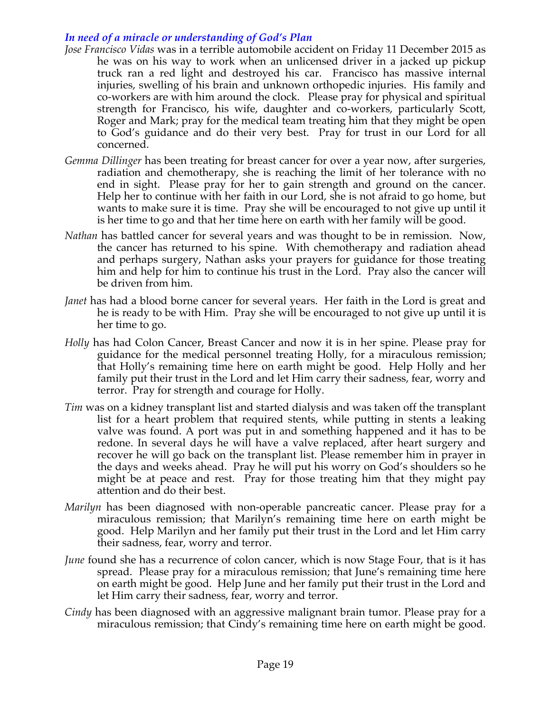# *In need of a miracle or understanding of God's Plan*

- *Jose Francisco Vidas* was in a terrible automobile accident on Friday 11 December 2015 as he was on his way to work when an unlicensed driver in a jacked up pickup truck ran a red light and destroyed his car. Francisco has massive internal injuries, swelling of his brain and unknown orthopedic injuries. His family and co-workers are with him around the clock. Please pray for physical and spiritual strength for Francisco, his wife, daughter and co-workers, particularly Scott, Roger and Mark; pray for the medical team treating him that they might be open to God's guidance and do their very best. Pray for trust in our Lord for all concerned.
- *Gemma Dillinger* has been treating for breast cancer for over a year now, after surgeries, radiation and chemotherapy, she is reaching the limit of her tolerance with no end in sight. Please pray for her to gain strength and ground on the cancer. Help her to continue with her faith in our Lord, she is not afraid to go home, but wants to make sure it is time. Pray she will be encouraged to not give up until it is her time to go and that her time here on earth with her family will be good.
- *Nathan* has battled cancer for several years and was thought to be in remission. Now, the cancer has returned to his spine. With chemotherapy and radiation ahead and perhaps surgery, Nathan asks your prayers for guidance for those treating him and help for him to continue his trust in the Lord. Pray also the cancer will be driven from him.
- *Janet* has had a blood borne cancer for several years. Her faith in the Lord is great and he is ready to be with Him. Pray she will be encouraged to not give up until it is her time to go.
- *Holly* has had Colon Cancer, Breast Cancer and now it is in her spine. Please pray for guidance for the medical personnel treating Holly, for a miraculous remission; that Holly's remaining time here on earth might be good. Help Holly and her family put their trust in the Lord and let Him carry their sadness, fear, worry and terror. Pray for strength and courage for Holly.
- *Tim* was on a kidney transplant list and started dialysis and was taken off the transplant list for a heart problem that required stents, while putting in stents a leaking valve was found. A port was put in and something happened and it has to be redone. In several days he will have a valve replaced, after heart surgery and recover he will go back on the transplant list. Please remember him in prayer in the days and weeks ahead. Pray he will put his worry on God's shoulders so he might be at peace and rest. Pray for those treating him that they might pay attention and do their best.
- *Marilyn* has been diagnosed with non-operable pancreatic cancer. Please pray for a miraculous remission; that Marilyn's remaining time here on earth might be good. Help Marilyn and her family put their trust in the Lord and let Him carry their sadness, fear, worry and terror.
- *June* found she has a recurrence of colon cancer, which is now Stage Four, that is it has spread. Please pray for a miraculous remission; that June's remaining time here on earth might be good. Help June and her family put their trust in the Lord and let Him carry their sadness, fear, worry and terror.
- *Cindy* has been diagnosed with an aggressive malignant brain tumor. Please pray for a miraculous remission; that Cindy's remaining time here on earth might be good.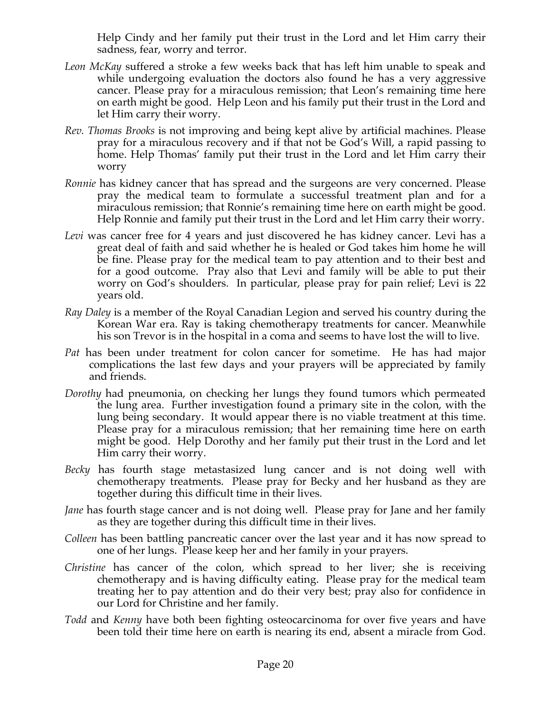Help Cindy and her family put their trust in the Lord and let Him carry their sadness, fear, worry and terror.

- *Leon McKay* suffered a stroke a few weeks back that has left him unable to speak and while undergoing evaluation the doctors also found he has a very aggressive cancer. Please pray for a miraculous remission; that Leon's remaining time here on earth might be good. Help Leon and his family put their trust in the Lord and let Him carry their worry.
- *Rev. Thomas Brooks* is not improving and being kept alive by artificial machines. Please pray for a miraculous recovery and if that not be God's Will, a rapid passing to home. Help Thomas' family put their trust in the Lord and let Him carry their worry
- *Ronnie* has kidney cancer that has spread and the surgeons are very concerned. Please pray the medical team to formulate a successful treatment plan and for a miraculous remission; that Ronnie's remaining time here on earth might be good. Help Ronnie and family put their trust in the Lord and let Him carry their worry.
- *Levi* was cancer free for 4 years and just discovered he has kidney cancer. Levi has a great deal of faith and said whether he is healed or God takes him home he will be fine. Please pray for the medical team to pay attention and to their best and for a good outcome. Pray also that Levi and family will be able to put their worry on God's shoulders. In particular, please pray for pain relief; Levi is 22 years old.
- *Ray Daley* is a member of the Royal Canadian Legion and served his country during the Korean War era. Ray is taking chemotherapy treatments for cancer. Meanwhile his son Trevor is in the hospital in a coma and seems to have lost the will to live.
- *Pat* has been under treatment for colon cancer for sometime. He has had major complications the last few days and your prayers will be appreciated by family and friends.
- *Dorothy* had pneumonia, on checking her lungs they found tumors which permeated the lung area. Further investigation found a primary site in the colon, with the lung being secondary. It would appear there is no viable treatment at this time. Please pray for a miraculous remission; that her remaining time here on earth might be good. Help Dorothy and her family put their trust in the Lord and let Him carry their worry.
- *Becky* has fourth stage metastasized lung cancer and is not doing well with chemotherapy treatments. Please pray for Becky and her husband as they are together during this difficult time in their lives.
- *Jane* has fourth stage cancer and is not doing well. Please pray for Jane and her family as they are together during this difficult time in their lives.
- *Colleen* has been battling pancreatic cancer over the last year and it has now spread to one of her lungs. Please keep her and her family in your prayers.
- *Christine* has cancer of the colon, which spread to her liver; she is receiving chemotherapy and is having difficulty eating. Please pray for the medical team treating her to pay attention and do their very best; pray also for confidence in our Lord for Christine and her family.
- *Todd* and *Kenny* have both been fighting osteocarcinoma for over five years and have been told their time here on earth is nearing its end, absent a miracle from God.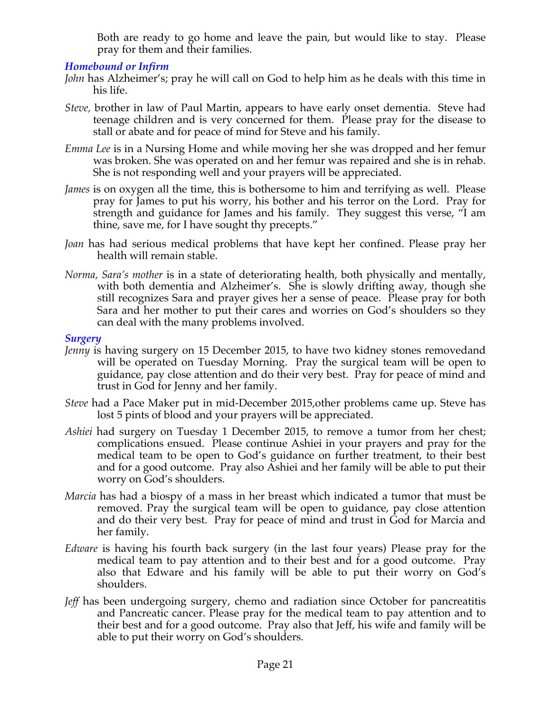Both are ready to go home and leave the pain, but would like to stay. Please pray for them and their families.

# *Homebound or Infirm*

- *John* has Alzheimer's; pray he will call on God to help him as he deals with this time in his life.
- *Steve,* brother in law of Paul Martin, appears to have early onset dementia. Steve had teenage children and is very concerned for them. Please pray for the disease to stall or abate and for peace of mind for Steve and his family.
- *Emma Lee* is in a Nursing Home and while moving her she was dropped and her femur was broken. She was operated on and her femur was repaired and she is in rehab. She is not responding well and your prayers will be appreciated.
- *James* is on oxygen all the time, this is bothersome to him and terrifying as well. Please pray for James to put his worry, his bother and his terror on the Lord. Pray for strength and guidance for James and his family. They suggest this verse, "I am thine, save me, for I have sought thy precepts."
- *Joan* has had serious medical problems that have kept her confined. Please pray her health will remain stable.
- *Norma, Sara's mother* is in a state of deteriorating health, both physically and mentally, with both dementia and Alzheimer's. She is slowly drifting away, though she still recognizes Sara and prayer gives her a sense of peace. Please pray for both Sara and her mother to put their cares and worries on God's shoulders so they can deal with the many problems involved.

#### *Surgery*

- *Jenny* is having surgery on 15 December 2015, to have two kidney stones removedand will be operated on Tuesday Morning. Pray the surgical team will be open to guidance, pay close attention and do their very best. Pray for peace of mind and trust in God for Jenny and her family.
- *Steve* had a Pace Maker put in mid-December 2015,other problems came up. Steve has lost 5 pints of blood and your prayers will be appreciated.
- *Ashiei* had surgery on Tuesday 1 December 2015, to remove a tumor from her chest; complications ensued. Please continue Ashiei in your prayers and pray for the medical team to be open to God's guidance on further treatment, to their best and for a good outcome. Pray also Ashiei and her family will be able to put their worry on God's shoulders.
- *Marcia* has had a biospy of a mass in her breast which indicated a tumor that must be removed. Pray the surgical team will be open to guidance, pay close attention and do their very best. Pray for peace of mind and trust in God for Marcia and her family.
- *Edware* is having his fourth back surgery (in the last four years) Please pray for the medical team to pay attention and to their best and for a good outcome. Pray also that Edware and his family will be able to put their worry on God's shoulders.
- *Jeff* has been undergoing surgery, chemo and radiation since October for pancreatitis and Pancreatic cancer. Please pray for the medical team to pay attention and to their best and for a good outcome. Pray also that Jeff, his wife and family will be able to put their worry on God's shoulders.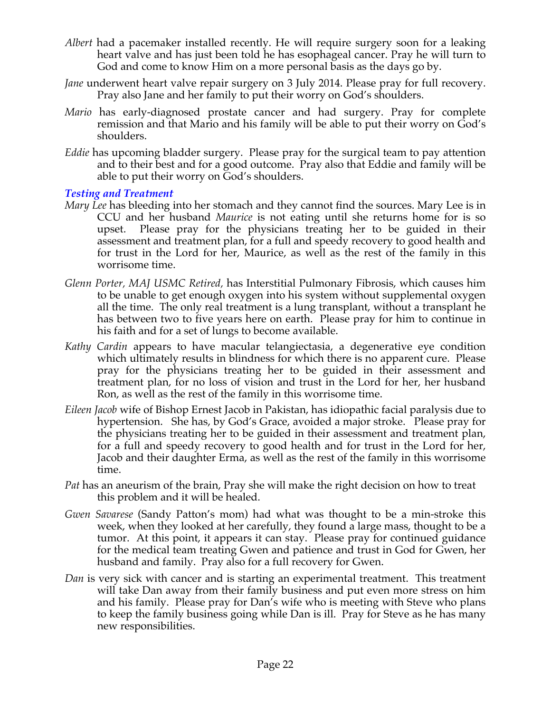- *Albert* had a pacemaker installed recently. He will require surgery soon for a leaking heart valve and has just been told he has esophageal cancer. Pray he will turn to God and come to know Him on a more personal basis as the days go by.
- *Jane* underwent heart valve repair surgery on 3 July 2014. Please pray for full recovery. Pray also Jane and her family to put their worry on God's shoulders.
- *Mario* has early-diagnosed prostate cancer and had surgery. Pray for complete remission and that Mario and his family will be able to put their worry on God's shoulders.
- *Eddie* has upcoming bladder surgery. Please pray for the surgical team to pay attention and to their best and for a good outcome. Pray also that Eddie and family will be able to put their worry on God's shoulders.

# *Testing and Treatment*

- *Mary Lee* has bleeding into her stomach and they cannot find the sources. Mary Lee is in CCU and her husband *Maurice* is not eating until she returns home for is so upset. Please pray for the physicians treating her to be guided in their assessment and treatment plan, for a full and speedy recovery to good health and for trust in the Lord for her, Maurice, as well as the rest of the family in this worrisome time.
- *Glenn Porter, MAJ USMC Retired,* has Interstitial Pulmonary Fibrosis, which causes him to be unable to get enough oxygen into his system without supplemental oxygen all the time. The only real treatment is a lung transplant, without a transplant he has between two to five years here on earth. Please pray for him to continue in his faith and for a set of lungs to become available.
- *Kathy Cardin* appears to have macular telangiectasia, a degenerative eye condition which ultimately results in blindness for which there is no apparent cure. Please pray for the physicians treating her to be guided in their assessment and treatment plan, for no loss of vision and trust in the Lord for her, her husband Ron, as well as the rest of the family in this worrisome time.
- *Eileen Jacob* wife of Bishop Ernest Jacob in Pakistan, has idiopathic facial paralysis due to hypertension. She has, by God's Grace, avoided a major stroke. Please pray for the physicians treating her to be guided in their assessment and treatment plan, for a full and speedy recovery to good health and for trust in the Lord for her, Jacob and their daughter Erma, as well as the rest of the family in this worrisome time.
- *Pat* has an aneurism of the brain, Pray she will make the right decision on how to treat this problem and it will be healed.
- *Gwen Savarese* (Sandy Patton's mom) had what was thought to be a min-stroke this week, when they looked at her carefully, they found a large mass, thought to be a tumor. At this point, it appears it can stay. Please pray for continued guidance for the medical team treating Gwen and patience and trust in God for Gwen, her husband and family. Pray also for a full recovery for Gwen.
- *Dan* is very sick with cancer and is starting an experimental treatment. This treatment will take Dan away from their family business and put even more stress on him and his family. Please pray for Dan's wife who is meeting with Steve who plans to keep the family business going while Dan is ill. Pray for Steve as he has many new responsibilities.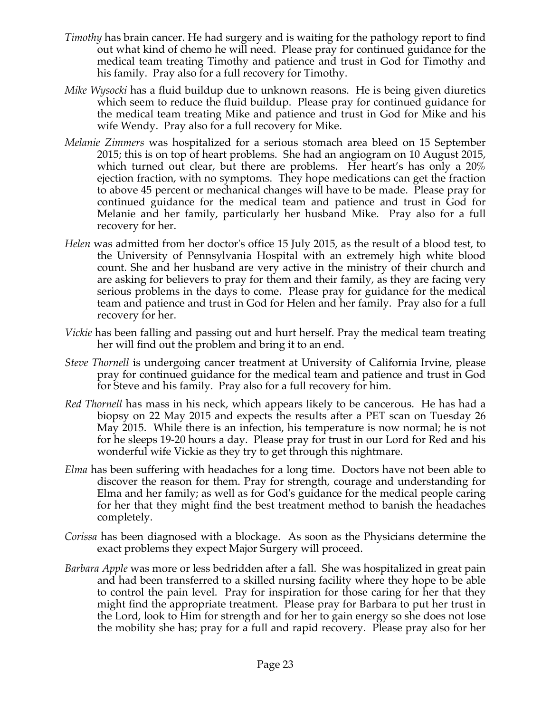- *Timothy* has brain cancer. He had surgery and is waiting for the pathology report to find out what kind of chemo he will need. Please pray for continued guidance for the medical team treating Timothy and patience and trust in God for Timothy and his family. Pray also for a full recovery for Timothy.
- *Mike Wysocki* has a fluid buildup due to unknown reasons. He is being given diuretics which seem to reduce the fluid buildup. Please pray for continued guidance for the medical team treating Mike and patience and trust in God for Mike and his wife Wendy. Pray also for a full recovery for Mike.
- *Melanie Zimmers* was hospitalized for a serious stomach area bleed on 15 September 2015; this is on top of heart problems. She had an angiogram on 10 August 2015, which turned out clear, but there are problems. Her heart's has only a 20% ejection fraction, with no symptoms. They hope medications can get the fraction to above 45 percent or mechanical changes will have to be made. Please pray for continued guidance for the medical team and patience and trust in God for Melanie and her family, particularly her husband Mike. Pray also for a full recovery for her.
- *Helen* was admitted from her doctor's office 15 July 2015, as the result of a blood test, to the University of Pennsylvania Hospital with an extremely high white blood count. She and her husband are very active in the ministry of their church and are asking for believers to pray for them and their family, as they are facing very serious problems in the days to come. Please pray for guidance for the medical team and patience and trust in God for Helen and her family. Pray also for a full recovery for her.
- *Vickie* has been falling and passing out and hurt herself. Pray the medical team treating her will find out the problem and bring it to an end.
- *Steve Thornell* is undergoing cancer treatment at University of California Irvine, please pray for continued guidance for the medical team and patience and trust in God for Steve and his family. Pray also for a full recovery for him.
- *Red Thornell* has mass in his neck, which appears likely to be cancerous. He has had a biopsy on 22 May 2015 and expects the results after a PET scan on Tuesday 26 May 2015. While there is an infection, his temperature is now normal; he is not for he sleeps 19-20 hours a day. Please pray for trust in our Lord for Red and his wonderful wife Vickie as they try to get through this nightmare.
- *Elma* has been suffering with headaches for a long time. Doctors have not been able to discover the reason for them. Pray for strength, courage and understanding for Elma and her family; as well as for God's guidance for the medical people caring for her that they might find the best treatment method to banish the headaches completely.
- *Corissa* has been diagnosed with a blockage. As soon as the Physicians determine the exact problems they expect Major Surgery will proceed.
- *Barbara Apple* was more or less bedridden after a fall. She was hospitalized in great pain and had been transferred to a skilled nursing facility where they hope to be able to control the pain level. Pray for inspiration for those caring for her that they might find the appropriate treatment. Please pray for Barbara to put her trust in the Lord, look to Him for strength and for her to gain energy so she does not lose the mobility she has; pray for a full and rapid recovery. Please pray also for her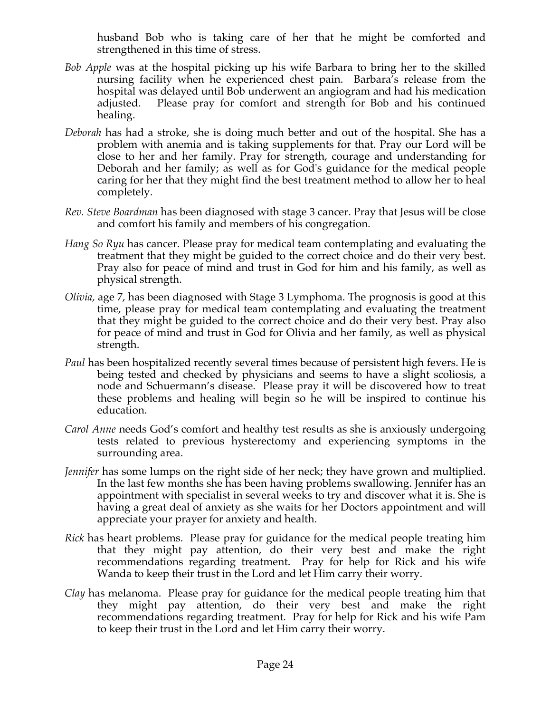husband Bob who is taking care of her that he might be comforted and strengthened in this time of stress.

- *Bob Apple* was at the hospital picking up his wife Barbara to bring her to the skilled nursing facility when he experienced chest pain. Barbara's release from the hospital was delayed until Bob underwent an angiogram and had his medication adjusted. Please pray for comfort and strength for Bob and his continued healing.
- *Deborah* has had a stroke, she is doing much better and out of the hospital. She has a problem with anemia and is taking supplements for that. Pray our Lord will be close to her and her family. Pray for strength, courage and understanding for Deborah and her family; as well as for God's guidance for the medical people caring for her that they might find the best treatment method to allow her to heal completely.
- *Rev. Steve Boardman* has been diagnosed with stage 3 cancer. Pray that Jesus will be close and comfort his family and members of his congregation*.*
- *Hang So Ryu* has cancer. Please pray for medical team contemplating and evaluating the treatment that they might be guided to the correct choice and do their very best. Pray also for peace of mind and trust in God for him and his family, as well as physical strength.
- *Olivia,* age 7, has been diagnosed with Stage 3 Lymphoma. The prognosis is good at this time, please pray for medical team contemplating and evaluating the treatment that they might be guided to the correct choice and do their very best. Pray also for peace of mind and trust in God for Olivia and her family, as well as physical strength.
- *Paul* has been hospitalized recently several times because of persistent high fevers. He is being tested and checked by physicians and seems to have a slight scoliosis, a node and Schuermann's disease. Please pray it will be discovered how to treat these problems and healing will begin so he will be inspired to continue his education.
- *Carol Anne* needs God's comfort and healthy test results as she is anxiously undergoing tests related to previous hysterectomy and experiencing symptoms in the surrounding area.
- *Jennifer* has some lumps on the right side of her neck; they have grown and multiplied. In the last few months she has been having problems swallowing. Jennifer has an appointment with specialist in several weeks to try and discover what it is. She is having a great deal of anxiety as she waits for her Doctors appointment and will appreciate your prayer for anxiety and health.
- *Rick* has heart problems. Please pray for guidance for the medical people treating him that they might pay attention, do their very best and make the right recommendations regarding treatment. Pray for help for Rick and his wife Wanda to keep their trust in the Lord and let Him carry their worry.
- *Clay* has melanoma. Please pray for guidance for the medical people treating him that they might pay attention, do their very best and make the right recommendations regarding treatment. Pray for help for Rick and his wife Pam to keep their trust in the Lord and let Him carry their worry.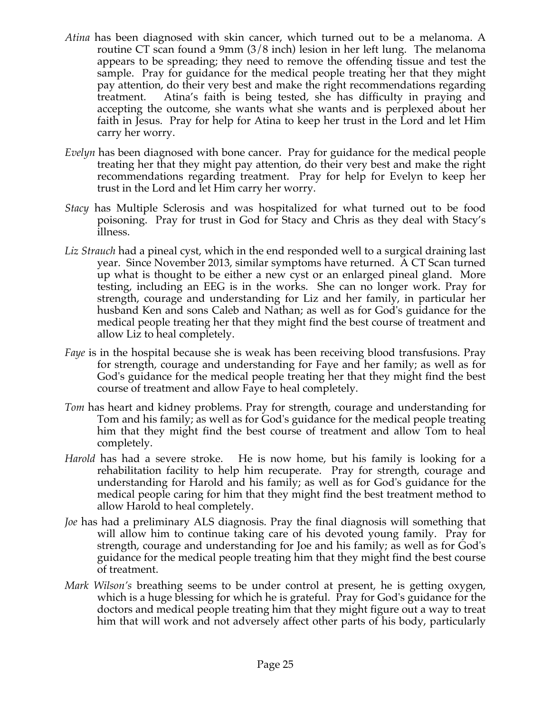- *Atina* has been diagnosed with skin cancer, which turned out to be a melanoma. A routine CT scan found a 9mm (3/8 inch) lesion in her left lung. The melanoma appears to be spreading; they need to remove the offending tissue and test the sample. Pray for guidance for the medical people treating her that they might pay attention, do their very best and make the right recommendations regarding treatment. Atina's faith is being tested, she has difficulty in praying and accepting the outcome, she wants what she wants and is perplexed about her faith in Jesus. Pray for help for Atina to keep her trust in the Lord and let Him carry her worry.
- *Evelyn* has been diagnosed with bone cancer. Pray for guidance for the medical people treating her that they might pay attention, do their very best and make the right recommendations regarding treatment. Pray for help for Evelyn to keep her trust in the Lord and let Him carry her worry.
- *Stacy* has Multiple Sclerosis and was hospitalized for what turned out to be food poisoning. Pray for trust in God for Stacy and Chris as they deal with Stacy's illness.
- *Liz Strauch* had a pineal cyst, which in the end responded well to a surgical draining last year. Since November 2013, similar symptoms have returned. A CT Scan turned up what is thought to be either a new cyst or an enlarged pineal gland. More testing, including an EEG is in the works. She can no longer work. Pray for strength, courage and understanding for Liz and her family, in particular her husband Ken and sons Caleb and Nathan; as well as for God's guidance for the medical people treating her that they might find the best course of treatment and allow Liz to heal completely.
- *Faye* is in the hospital because she is weak has been receiving blood transfusions. Pray for strength, courage and understanding for Faye and her family; as well as for God's guidance for the medical people treating her that they might find the best course of treatment and allow Faye to heal completely.
- *Tom* has heart and kidney problems. Pray for strength, courage and understanding for Tom and his family; as well as for God's guidance for the medical people treating him that they might find the best course of treatment and allow Tom to heal completely.
- *Harold* has had a severe stroke. He is now home, but his family is looking for a rehabilitation facility to help him recuperate. Pray for strength, courage and understanding for Harold and his family; as well as for God's guidance for the medical people caring for him that they might find the best treatment method to allow Harold to heal completely.
- *Joe* has had a preliminary ALS diagnosis. Pray the final diagnosis will something that will allow him to continue taking care of his devoted young family. Pray for strength, courage and understanding for Joe and his family; as well as for God's guidance for the medical people treating him that they might find the best course of treatment.
- *Mark Wilson's* breathing seems to be under control at present, he is getting oxygen, which is a huge blessing for which he is grateful. Pray for God's guidance for the doctors and medical people treating him that they might figure out a way to treat him that will work and not adversely affect other parts of his body, particularly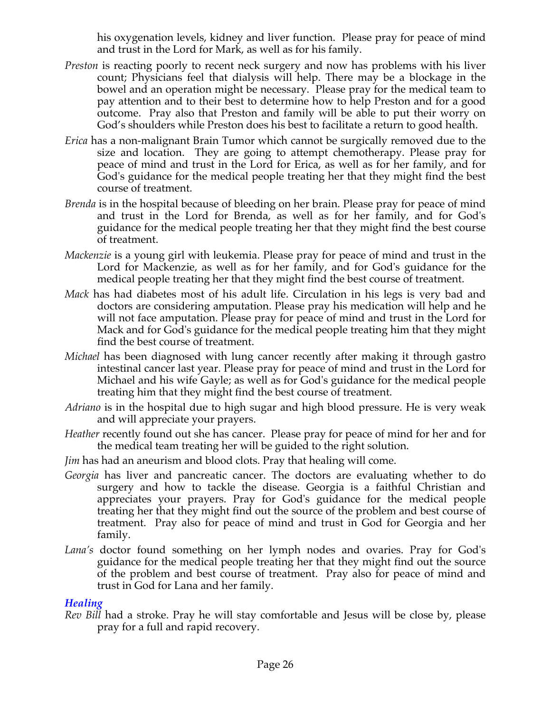his oxygenation levels, kidney and liver function. Please pray for peace of mind and trust in the Lord for Mark, as well as for his family.

- *Preston* is reacting poorly to recent neck surgery and now has problems with his liver count; Physicians feel that dialysis will help. There may be a blockage in the bowel and an operation might be necessary. Please pray for the medical team to pay attention and to their best to determine how to help Preston and for a good outcome. Pray also that Preston and family will be able to put their worry on God's shoulders while Preston does his best to facilitate a return to good health.
- *Erica* has a non-malignant Brain Tumor which cannot be surgically removed due to the size and location. They are going to attempt chemotherapy. Please pray for peace of mind and trust in the Lord for Erica, as well as for her family, and for God's guidance for the medical people treating her that they might find the best course of treatment.
- *Brenda* is in the hospital because of bleeding on her brain. Please pray for peace of mind and trust in the Lord for Brenda, as well as for her family, and for God's guidance for the medical people treating her that they might find the best course of treatment.
- *Mackenzie* is a young girl with leukemia. Please pray for peace of mind and trust in the Lord for Mackenzie, as well as for her family, and for God's guidance for the medical people treating her that they might find the best course of treatment.
- *Mack* has had diabetes most of his adult life. Circulation in his legs is very bad and doctors are considering amputation. Please pray his medication will help and he will not face amputation. Please pray for peace of mind and trust in the Lord for Mack and for God's guidance for the medical people treating him that they might find the best course of treatment.
- *Michael* has been diagnosed with lung cancer recently after making it through gastro intestinal cancer last year. Please pray for peace of mind and trust in the Lord for Michael and his wife Gayle; as well as for God's guidance for the medical people treating him that they might find the best course of treatment.
- *Adriano* is in the hospital due to high sugar and high blood pressure. He is very weak and will appreciate your prayers.
- *Heather* recently found out she has cancer. Please pray for peace of mind for her and for the medical team treating her will be guided to the right solution.
- *Jim* has had an aneurism and blood clots. Pray that healing will come.
- *Georgia* has liver and pancreatic cancer. The doctors are evaluating whether to do surgery and how to tackle the disease. Georgia is a faithful Christian and appreciates your prayers. Pray for God's guidance for the medical people treating her that they might find out the source of the problem and best course of treatment. Pray also for peace of mind and trust in God for Georgia and her family.
- *Lana's* doctor found something on her lymph nodes and ovaries. Pray for God's guidance for the medical people treating her that they might find out the source of the problem and best course of treatment. Pray also for peace of mind and trust in God for Lana and her family.

# *Healing*

*Rev Bill* had a stroke. Pray he will stay comfortable and Jesus will be close by, please pray for a full and rapid recovery.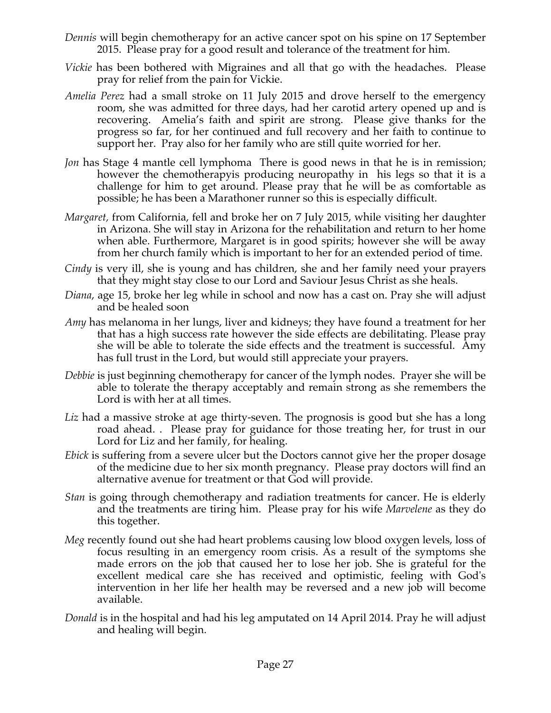- *Dennis* will begin chemotherapy for an active cancer spot on his spine on 17 September 2015. Please pray for a good result and tolerance of the treatment for him.
- *Vickie* has been bothered with Migraines and all that go with the headaches. Please pray for relief from the pain for Vickie.
- *Amelia Perez* had a small stroke on 11 July 2015 and drove herself to the emergency room, she was admitted for three days, had her carotid artery opened up and is recovering. Amelia's faith and spirit are strong. Please give thanks for the progress so far, for her continued and full recovery and her faith to continue to support her. Pray also for her family who are still quite worried for her.
- *Jon* has Stage 4 mantle cell lymphoma There is good news in that he is in remission; however the chemotherapyis producing neuropathy in his legs so that it is a challenge for him to get around. Please pray that he will be as comfortable as possible; he has been a Marathoner runner so this is especially difficult.
- *Margaret,* from California, fell and broke her on 7 July 2015, while visiting her daughter in Arizona. She will stay in Arizona for the rehabilitation and return to her home when able. Furthermore, Margaret is in good spirits; however she will be away from her church family which is important to her for an extended period of time.
- *Cindy* is very ill, she is young and has children, she and her family need your prayers that they might stay close to our Lord and Saviour Jesus Christ as she heals.
- *Diana*, age 15, broke her leg while in school and now has a cast on. Pray she will adjust and be healed soon
- *Amy* has melanoma in her lungs, liver and kidneys; they have found a treatment for her that has a high success rate however the side effects are debilitating. Please pray she will be able to tolerate the side effects and the treatment is successful. Amy has full trust in the Lord, but would still appreciate your prayers.
- *Debbie* is just beginning chemotherapy for cancer of the lymph nodes. Prayer she will be able to tolerate the therapy acceptably and remain strong as she remembers the Lord is with her at all times.
- Liz had a massive stroke at age thirty-seven. The prognosis is good but she has a long road ahead. . Please pray for guidance for those treating her, for trust in our Lord for Liz and her family, for healing.
- *Ebick* is suffering from a severe ulcer but the Doctors cannot give her the proper dosage of the medicine due to her six month pregnancy. Please pray doctors will find an alternative avenue for treatment or that God will provide.
- *Stan* is going through chemotherapy and radiation treatments for cancer. He is elderly and the treatments are tiring him. Please pray for his wife *Marvelene* as they do this together.
- *Meg* recently found out she had heart problems causing low blood oxygen levels, loss of focus resulting in an emergency room crisis. As a result of the symptoms she made errors on the job that caused her to lose her job. She is grateful for the excellent medical care she has received and optimistic, feeling with God's intervention in her life her health may be reversed and a new job will become available.
- *Donald* is in the hospital and had his leg amputated on 14 April 2014. Pray he will adjust and healing will begin.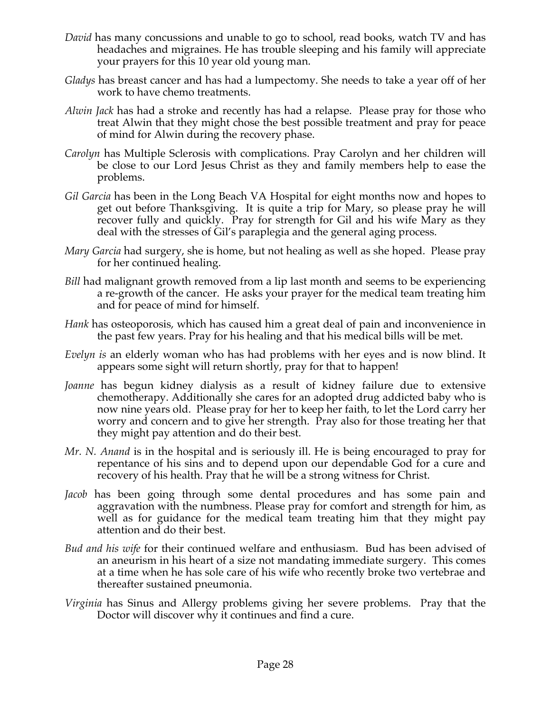- *David* has many concussions and unable to go to school, read books, watch TV and has headaches and migraines. He has trouble sleeping and his family will appreciate your prayers for this 10 year old young man.
- *Gladys* has breast cancer and has had a lumpectomy. She needs to take a year off of her work to have chemo treatments.
- *Alwin Jack* has had a stroke and recently has had a relapse. Please pray for those who treat Alwin that they might chose the best possible treatment and pray for peace of mind for Alwin during the recovery phase.
- *Carolyn* has Multiple Sclerosis with complications. Pray Carolyn and her children will be close to our Lord Jesus Christ as they and family members help to ease the problems.
- *Gil Garcia* has been in the Long Beach VA Hospital for eight months now and hopes to get out before Thanksgiving. It is quite a trip for Mary, so please pray he will recover fully and quickly. Pray for strength for Gil and his wife Mary as they deal with the stresses of Gil's paraplegia and the general aging process.
- *Mary Garcia* had surgery, she is home, but not healing as well as she hoped. Please pray for her continued healing.
- *Bill* had malignant growth removed from a lip last month and seems to be experiencing a re-growth of the cancer. He asks your prayer for the medical team treating him and for peace of mind for himself.
- *Hank* has osteoporosis, which has caused him a great deal of pain and inconvenience in the past few years. Pray for his healing and that his medical bills will be met.
- *Evelyn is* an elderly woman who has had problems with her eyes and is now blind. It appears some sight will return shortly, pray for that to happen!
- *Joanne* has begun kidney dialysis as a result of kidney failure due to extensive chemotherapy. Additionally she cares for an adopted drug addicted baby who is now nine years old. Please pray for her to keep her faith, to let the Lord carry her worry and concern and to give her strength. Pray also for those treating her that they might pay attention and do their best.
- *Mr. N. Anand* is in the hospital and is seriously ill. He is being encouraged to pray for repentance of his sins and to depend upon our dependable God for a cure and recovery of his health. Pray that he will be a strong witness for Christ.
- *Jacob* has been going through some dental procedures and has some pain and aggravation with the numbness. Please pray for comfort and strength for him, as well as for guidance for the medical team treating him that they might pay attention and do their best.
- *Bud and his wife* for their continued welfare and enthusiasm. Bud has been advised of an aneurism in his heart of a size not mandating immediate surgery. This comes at a time when he has sole care of his wife who recently broke two vertebrae and thereafter sustained pneumonia.
- *Virginia* has Sinus and Allergy problems giving her severe problems. Pray that the Doctor will discover why it continues and find a cure.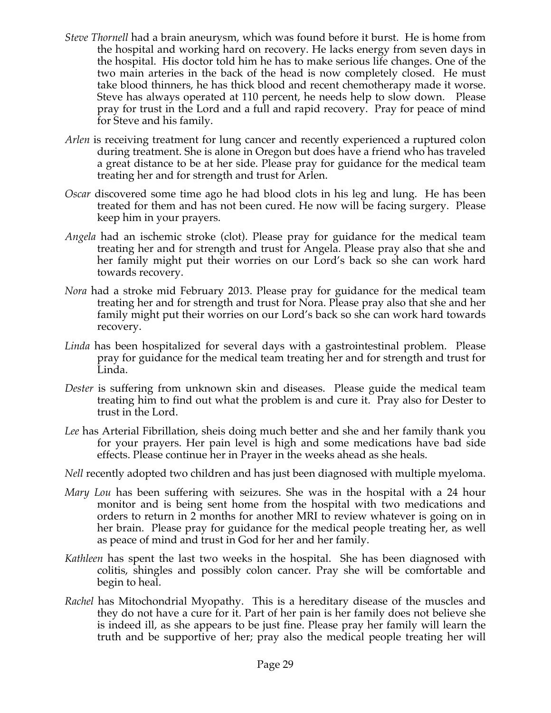- *Steve Thornell* had a brain aneurysm, which was found before it burst. He is home from the hospital and working hard on recovery. He lacks energy from seven days in the hospital. His doctor told him he has to make serious life changes. One of the two main arteries in the back of the head is now completely closed. He must take blood thinners, he has thick blood and recent chemotherapy made it worse. Steve has always operated at 110 percent, he needs help to slow down. Please pray for trust in the Lord and a full and rapid recovery. Pray for peace of mind for Steve and his family.
- *Arlen* is receiving treatment for lung cancer and recently experienced a ruptured colon during treatment. She is alone in Oregon but does have a friend who has traveled a great distance to be at her side. Please pray for guidance for the medical team treating her and for strength and trust for Arlen.
- *Oscar* discovered some time ago he had blood clots in his leg and lung. He has been treated for them and has not been cured. He now will be facing surgery. Please keep him in your prayers.
- *Angela* had an ischemic stroke (clot). Please pray for guidance for the medical team treating her and for strength and trust for Angela. Please pray also that she and her family might put their worries on our Lord's back so she can work hard towards recovery.
- *Nora* had a stroke mid February 2013. Please pray for guidance for the medical team treating her and for strength and trust for Nora. Please pray also that she and her family might put their worries on our Lord's back so she can work hard towards recovery.
- *Linda* has been hospitalized for several days with a gastrointestinal problem. Please pray for guidance for the medical team treating her and for strength and trust for Linda.
- *Dester* is suffering from unknown skin and diseases. Please guide the medical team treating him to find out what the problem is and cure it. Pray also for Dester to trust in the Lord.
- *Lee* has Arterial Fibrillation, sheis doing much better and she and her family thank you for your prayers. Her pain level is high and some medications have bad side effects. Please continue her in Prayer in the weeks ahead as she heals.
- *Nell* recently adopted two children and has just been diagnosed with multiple myeloma.
- *Mary Lou* has been suffering with seizures. She was in the hospital with a 24 hour monitor and is being sent home from the hospital with two medications and orders to return in 2 months for another MRI to review whatever is going on in her brain. Please pray for guidance for the medical people treating her, as well as peace of mind and trust in God for her and her family.
- *Kathleen* has spent the last two weeks in the hospital. She has been diagnosed with colitis, shingles and possibly colon cancer. Pray she will be comfortable and begin to heal.
- *Rachel* has Mitochondrial Myopathy. This is a hereditary disease of the muscles and they do not have a cure for it. Part of her pain is her family does not believe she is indeed ill, as she appears to be just fine. Please pray her family will learn the truth and be supportive of her; pray also the medical people treating her will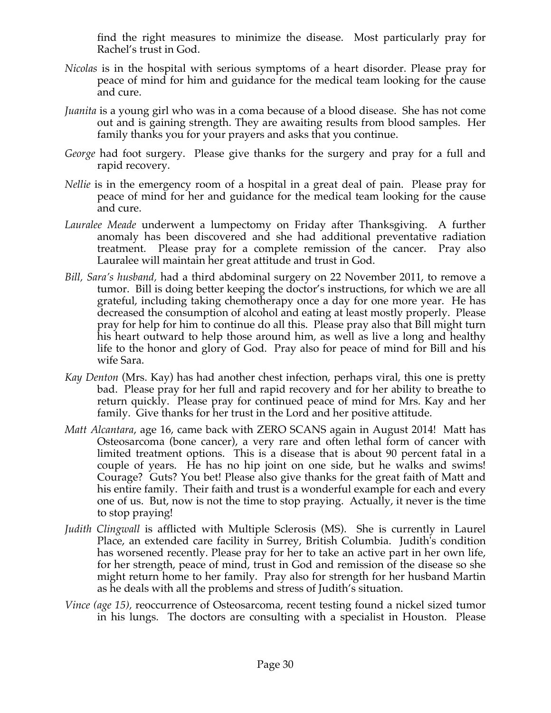find the right measures to minimize the disease. Most particularly pray for Rachel's trust in God.

- *Nicolas* is in the hospital with serious symptoms of a heart disorder. Please pray for peace of mind for him and guidance for the medical team looking for the cause and cure.
- *Juanita* is a young girl who was in a coma because of a blood disease. She has not come out and is gaining strength. They are awaiting results from blood samples. Her family thanks you for your prayers and asks that you continue.
- *George* had foot surgery. Please give thanks for the surgery and pray for a full and rapid recovery.
- *Nellie* is in the emergency room of a hospital in a great deal of pain. Please pray for peace of mind for her and guidance for the medical team looking for the cause and cure.
- *Lauralee Meade* underwent a lumpectomy on Friday after Thanksgiving. A further anomaly has been discovered and she had additional preventative radiation treatment. Please pray for a complete remission of the cancer. Pray also Lauralee will maintain her great attitude and trust in God.
- *Bill, Sara's husband,* had a third abdominal surgery on 22 November 2011, to remove a tumor. Bill is doing better keeping the doctor's instructions, for which we are all grateful, including taking chemotherapy once a day for one more year. He has decreased the consumption of alcohol and eating at least mostly properly. Please pray for help for him to continue do all this. Please pray also that Bill might turn his heart outward to help those around him, as well as live a long and healthy life to the honor and glory of God. Pray also for peace of mind for Bill and his wife Sara.
- *Kay Denton* (Mrs. Kay) has had another chest infection, perhaps viral, this one is pretty bad. Please pray for her full and rapid recovery and for her ability to breathe to return quickly. Please pray for continued peace of mind for Mrs. Kay and her family. Give thanks for her trust in the Lord and her positive attitude.
- *Matt Alcantara*, age 16, came back with ZERO SCANS again in August 2014! Matt has Osteosarcoma (bone cancer), a very rare and often lethal form of cancer with limited treatment options. This is a disease that is about 90 percent fatal in a couple of years. He has no hip joint on one side, but he walks and swims! Courage? Guts? You bet! Please also give thanks for the great faith of Matt and his entire family. Their faith and trust is a wonderful example for each and every one of us. But, now is not the time to stop praying. Actually, it never is the time to stop praying!
- *Judith Clingwall* is afflicted with Multiple Sclerosis (MS). She is currently in Laurel Place, an extended care facility in Surrey, British Columbia. Judith's condition has worsened recently. Please pray for her to take an active part in her own life, for her strength, peace of mind, trust in God and remission of the disease so she might return home to her family. Pray also for strength for her husband Martin as he deals with all the problems and stress of Judith's situation.
- *Vince (age 15),* reoccurrence of Osteosarcoma, recent testing found a nickel sized tumor in his lungs. The doctors are consulting with a specialist in Houston. Please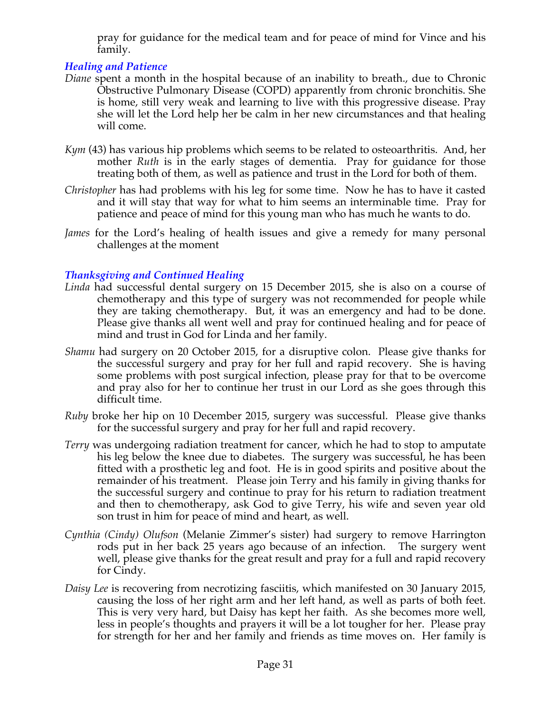pray for guidance for the medical team and for peace of mind for Vince and his family.

# *Healing and Patience*

- *Diane* spent a month in the hospital because of an inability to breath., due to Chronic Obstructive Pulmonary Disease (COPD) apparently from chronic bronchitis. She is home, still very weak and learning to live with this progressive disease. Pray she will let the Lord help her be calm in her new circumstances and that healing will come.
- *Kym* (43) has various hip problems which seems to be related to osteoarthritis. And, her mother *Ruth* is in the early stages of dementia. Pray for guidance for those treating both of them, as well as patience and trust in the Lord for both of them.
- *Christopher* has had problems with his leg for some time. Now he has to have it casted and it will stay that way for what to him seems an interminable time. Pray for patience and peace of mind for this young man who has much he wants to do.
- *James* for the Lord's healing of health issues and give a remedy for many personal challenges at the moment

# *Thanksgiving and Continued Healing*

- *Linda* had successful dental surgery on 15 December 2015, she is also on a course of chemotherapy and this type of surgery was not recommended for people while they are taking chemotherapy. But, it was an emergency and had to be done. Please give thanks all went well and pray for continued healing and for peace of mind and trust in God for Linda and her family.
- *Shamu* had surgery on 20 October 2015, for a disruptive colon. Please give thanks for the successful surgery and pray for her full and rapid recovery. She is having some problems with post surgical infection, please pray for that to be overcome and pray also for her to continue her trust in our Lord as she goes through this difficult time.
- *Ruby* broke her hip on 10 December 2015, surgery was successful. Please give thanks for the successful surgery and pray for her full and rapid recovery.
- *Terry* was undergoing radiation treatment for cancer, which he had to stop to amputate his leg below the knee due to diabetes. The surgery was successful, he has been fitted with a prosthetic leg and foot. He is in good spirits and positive about the remainder of his treatment. Please join Terry and his family in giving thanks for the successful surgery and continue to pray for his return to radiation treatment and then to chemotherapy, ask God to give Terry, his wife and seven year old son trust in him for peace of mind and heart, as well.
- *Cynthia (Cindy) Olufson* (Melanie Zimmer's sister) had surgery to remove Harrington rods put in her back 25 years ago because of an infection. The surgery went well, please give thanks for the great result and pray for a full and rapid recovery for Cindy.
- *Daisy Lee* is recovering from necrotizing fasciitis, which manifested on 30 January 2015, causing the loss of her right arm and her left hand, as well as parts of both feet. This is very very hard, but Daisy has kept her faith. As she becomes more well, less in people's thoughts and prayers it will be a lot tougher for her. Please pray for strength for her and her family and friends as time moves on. Her family is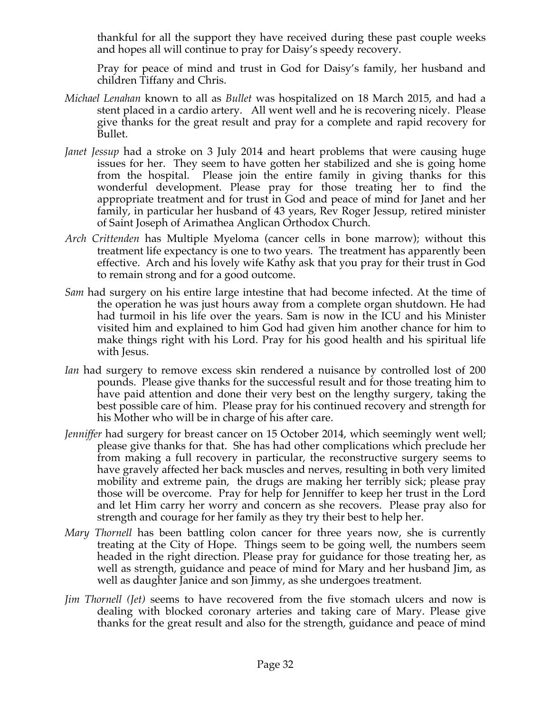thankful for all the support they have received during these past couple weeks and hopes all will continue to pray for Daisy's speedy recovery.

Pray for peace of mind and trust in God for Daisy's family, her husband and children Tiffany and Chris.

- *Michael Lenahan* known to all as *Bullet* was hospitalized on 18 March 2015, and had a stent placed in a cardio artery. All went well and he is recovering nicely. Please give thanks for the great result and pray for a complete and rapid recovery for Bullet.
- *Janet Jessup* had a stroke on 3 July 2014 and heart problems that were causing huge issues for her. They seem to have gotten her stabilized and she is going home from the hospital. Please join the entire family in giving thanks for this wonderful development. Please pray for those treating her to find the appropriate treatment and for trust in God and peace of mind for Janet and her family, in particular her husband of 43 years, Rev Roger Jessup, retired minister of Saint Joseph of Arimathea Anglican Orthodox Church.
- *Arch Crittenden* has Multiple Myeloma (cancer cells in bone marrow); without this treatment life expectancy is one to two years. The treatment has apparently been effective. Arch and his lovely wife Kathy ask that you pray for their trust in God to remain strong and for a good outcome.
- *Sam* had surgery on his entire large intestine that had become infected. At the time of the operation he was just hours away from a complete organ shutdown. He had had turmoil in his life over the years. Sam is now in the ICU and his Minister visited him and explained to him God had given him another chance for him to make things right with his Lord. Pray for his good health and his spiritual life with Jesus.
- *Ian* had surgery to remove excess skin rendered a nuisance by controlled lost of 200 pounds. Please give thanks for the successful result and for those treating him to have paid attention and done their very best on the lengthy surgery, taking the best possible care of him. Please pray for his continued recovery and strength for his Mother who will be in charge of his after care.
- *Jenniffer* had surgery for breast cancer on 15 October 2014, which seemingly went well; please give thanks for that. She has had other complications which preclude her from making a full recovery in particular, the reconstructive surgery seems to have gravely affected her back muscles and nerves, resulting in both very limited mobility and extreme pain, the drugs are making her terribly sick; please pray those will be overcome. Pray for help for Jenniffer to keep her trust in the Lord and let Him carry her worry and concern as she recovers. Please pray also for strength and courage for her family as they try their best to help her.
- *Mary Thornell* has been battling colon cancer for three years now, she is currently treating at the City of Hope. Things seem to be going well, the numbers seem headed in the right direction. Please pray for guidance for those treating her, as well as strength, guidance and peace of mind for Mary and her husband Jim, as well as daughter Janice and son Jimmy, as she undergoes treatment.
- *Jim Thornell (Jet)* seems to have recovered from the five stomach ulcers and now is dealing with blocked coronary arteries and taking care of Mary. Please give thanks for the great result and also for the strength, guidance and peace of mind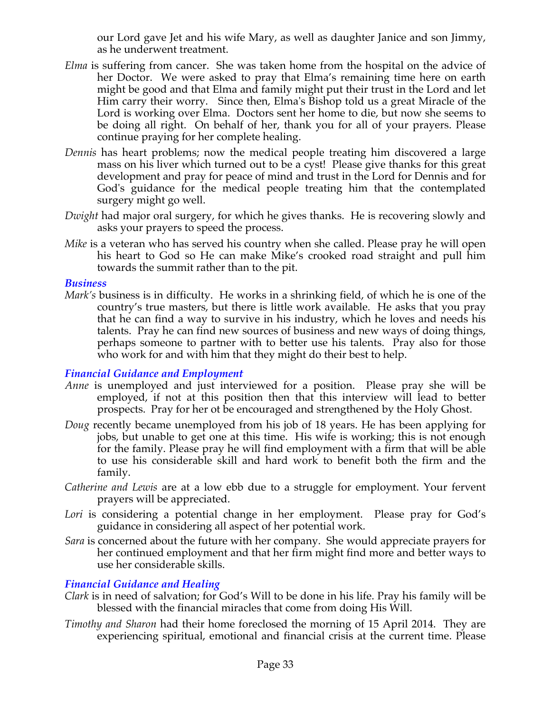our Lord gave Jet and his wife Mary, as well as daughter Janice and son Jimmy, as he underwent treatment.

- *Elma* is suffering from cancer. She was taken home from the hospital on the advice of her Doctor. We were asked to pray that Elma's remaining time here on earth might be good and that Elma and family might put their trust in the Lord and let Him carry their worry. Since then, Elma's Bishop told us a great Miracle of the Lord is working over Elma. Doctors sent her home to die, but now she seems to be doing all right. On behalf of her, thank you for all of your prayers. Please continue praying for her complete healing.
- *Dennis* has heart problems; now the medical people treating him discovered a large mass on his liver which turned out to be a cyst! Please give thanks for this great development and pray for peace of mind and trust in the Lord for Dennis and for God's guidance for the medical people treating him that the contemplated surgery might go well.
- *Dwight* had major oral surgery, for which he gives thanks. He is recovering slowly and asks your prayers to speed the process.
- *Mike* is a veteran who has served his country when she called. Please pray he will open his heart to God so He can make Mike's crooked road straight and pull him towards the summit rather than to the pit.

#### *Business*

*Mark's* business is in difficulty. He works in a shrinking field, of which he is one of the country's true masters, but there is little work available. He asks that you pray that he can find a way to survive in his industry, which he loves and needs his talents. Pray he can find new sources of business and new ways of doing things, perhaps someone to partner with to better use his talents. Pray also for those who work for and with him that they might do their best to help.

# *Financial Guidance and Employment*

- *Anne* is unemployed and just interviewed for a position. Please pray she will be employed, if not at this position then that this interview will lead to better prospects. Pray for her ot be encouraged and strengthened by the Holy Ghost.
- *Doug* recently became unemployed from his job of 18 years. He has been applying for jobs, but unable to get one at this time. His wife is working; this is not enough for the family. Please pray he will find employment with a firm that will be able to use his considerable skill and hard work to benefit both the firm and the family.
- *Catherine and Lewis* are at a low ebb due to a struggle for employment. Your fervent prayers will be appreciated.
- Lori is considering a potential change in her employment. Please pray for God's guidance in considering all aspect of her potential work.
- *Sara* is concerned about the future with her company. She would appreciate prayers for her continued employment and that her firm might find more and better ways to use her considerable skills.

# *Financial Guidance and Healing*

- *Clark* is in need of salvation; for God's Will to be done in his life. Pray his family will be blessed with the financial miracles that come from doing His Will.
- *Timothy and Sharon* had their home foreclosed the morning of 15 April 2014. They are experiencing spiritual, emotional and financial crisis at the current time. Please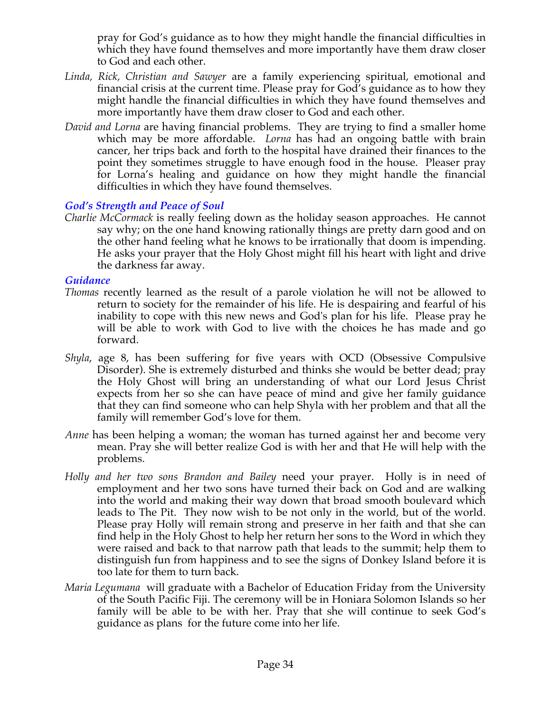pray for God's guidance as to how they might handle the financial difficulties in which they have found themselves and more importantly have them draw closer to God and each other.

- *Linda, Rick, Christian and Sawyer* are a family experiencing spiritual, emotional and financial crisis at the current time. Please pray for God's guidance as to how they might handle the financial difficulties in which they have found themselves and more importantly have them draw closer to God and each other.
- *David and Lorna* are having financial problems. They are trying to find a smaller home which may be more affordable. *Lorna* has had an ongoing battle with brain cancer, her trips back and forth to the hospital have drained their finances to the point they sometimes struggle to have enough food in the house. Pleaser pray for Lorna's healing and guidance on how they might handle the financial difficulties in which they have found themselves.

# *God's Strength and Peace of Soul*

*Charlie McCormack* is really feeling down as the holiday season approaches. He cannot say why; on the one hand knowing rationally things are pretty darn good and on the other hand feeling what he knows to be irrationally that doom is impending. He asks your prayer that the Holy Ghost might fill his heart with light and drive the darkness far away.

# *Guidance*

- *Thomas* recently learned as the result of a parole violation he will not be allowed to return to society for the remainder of his life. He is despairing and fearful of his inability to cope with this new news and God's plan for his life. Please pray he will be able to work with God to live with the choices he has made and go forward.
- *Shyla*, age 8, has been suffering for five years with OCD (Obsessive Compulsive Disorder). She is extremely disturbed and thinks she would be better dead; pray the Holy Ghost will bring an understanding of what our Lord Jesus Christ expects from her so she can have peace of mind and give her family guidance that they can find someone who can help Shyla with her problem and that all the family will remember God's love for them.
- *Anne* has been helping a woman; the woman has turned against her and become very mean. Pray she will better realize God is with her and that He will help with the problems.
- *Holly and her two sons Brandon and Bailey* need your prayer. Holly is in need of employment and her two sons have turned their back on God and are walking into the world and making their way down that broad smooth boulevard which leads to The Pit. They now wish to be not only in the world, but of the world. Please pray Holly will remain strong and preserve in her faith and that she can find help in the Holy Ghost to help her return her sons to the Word in which they were raised and back to that narrow path that leads to the summit; help them to distinguish fun from happiness and to see the signs of Donkey Island before it is too late for them to turn back.
- *Maria Legumana* will graduate with a Bachelor of Education Friday from the University of the South Pacific Fiji. The ceremony will be in Honiara Solomon Islands so her family will be able to be with her. Pray that she will continue to seek God's guidance as plans for the future come into her life.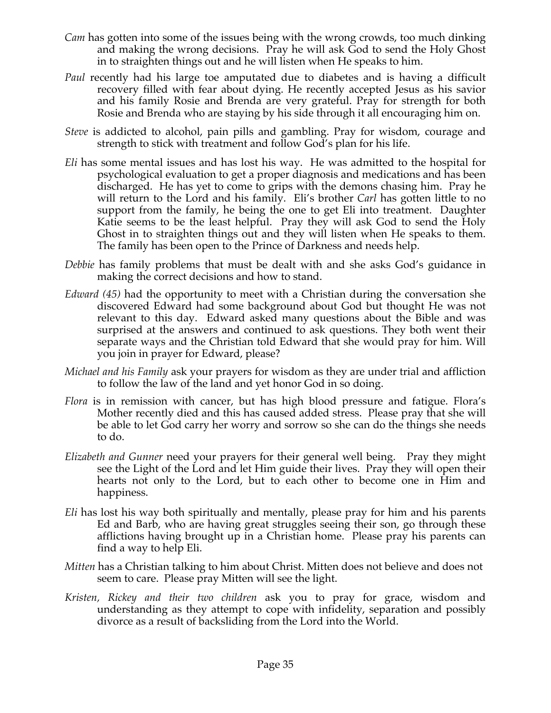- *Cam* has gotten into some of the issues being with the wrong crowds, too much dinking and making the wrong decisions. Pray he will ask God to send the Holy Ghost in to straighten things out and he will listen when He speaks to him.
- *Paul* recently had his large toe amputated due to diabetes and is having a difficult recovery filled with fear about dying. He recently accepted Jesus as his savior and his family Rosie and Brenda are very grateful. Pray for strength for both Rosie and Brenda who are staying by his side through it all encouraging him on.
- *Steve* is addicted to alcohol, pain pills and gambling. Pray for wisdom, courage and strength to stick with treatment and follow God's plan for his life.
- *Eli* has some mental issues and has lost his way. He was admitted to the hospital for psychological evaluation to get a proper diagnosis and medications and has been discharged. He has yet to come to grips with the demons chasing him. Pray he will return to the Lord and his family. Eli's brother *Carl* has gotten little to no support from the family, he being the one to get Eli into treatment. Daughter Katie seems to be the least helpful. Pray they will ask God to send the Holy Ghost in to straighten things out and they will listen when He speaks to them. The family has been open to the Prince of Darkness and needs help.
- *Debbie* has family problems that must be dealt with and she asks God's guidance in making the correct decisions and how to stand.
- *Edward (45)* had the opportunity to meet with a Christian during the conversation she discovered Edward had some background about God but thought He was not relevant to this day. Edward asked many questions about the Bible and was surprised at the answers and continued to ask questions. They both went their separate ways and the Christian told Edward that she would pray for him. Will you join in prayer for Edward, please?
- *Michael and his Family* ask your prayers for wisdom as they are under trial and affliction to follow the law of the land and yet honor God in so doing.
- *Flora* is in remission with cancer, but has high blood pressure and fatigue. Flora's Mother recently died and this has caused added stress. Please pray that she will be able to let God carry her worry and sorrow so she can do the things she needs to do.
- *Elizabeth and Gunner* need your prayers for their general well being. Pray they might see the Light of the Lord and let Him guide their lives. Pray they will open their hearts not only to the Lord, but to each other to become one in Him and happiness.
- *Eli* has lost his way both spiritually and mentally, please pray for him and his parents Ed and Barb, who are having great struggles seeing their son, go through these afflictions having brought up in a Christian home. Please pray his parents can find a way to help Eli.
- *Mitten* has a Christian talking to him about Christ. Mitten does not believe and does not seem to care. Please pray Mitten will see the light.
- *Kristen, Rickey and their two children* ask you to pray for grace, wisdom and understanding as they attempt to cope with infidelity, separation and possibly divorce as a result of backsliding from the Lord into the World.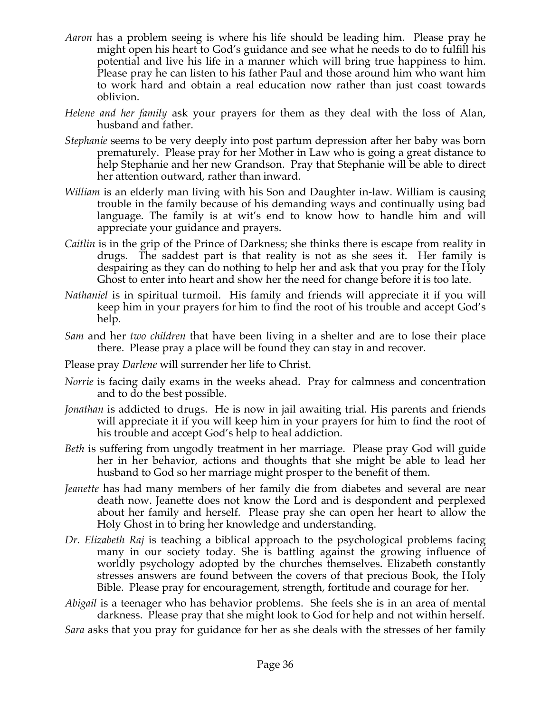- *Aaron* has a problem seeing is where his life should be leading him. Please pray he might open his heart to God's guidance and see what he needs to do to fulfill his potential and live his life in a manner which will bring true happiness to him. Please pray he can listen to his father Paul and those around him who want him to work hard and obtain a real education now rather than just coast towards oblivion.
- *Helene and her family* ask your prayers for them as they deal with the loss of Alan, husband and father.
- *Stephanie* seems to be very deeply into post partum depression after her baby was born prematurely. Please pray for her Mother in Law who is going a great distance to help Stephanie and her new Grandson. Pray that Stephanie will be able to direct her attention outward, rather than inward.
- *William* is an elderly man living with his Son and Daughter in-law. William is causing trouble in the family because of his demanding ways and continually using bad language. The family is at wit's end to know how to handle him and will appreciate your guidance and prayers.
- *Caitlin* is in the grip of the Prince of Darkness; she thinks there is escape from reality in drugs. The saddest part is that reality is not as she sees it. Her family is despairing as they can do nothing to help her and ask that you pray for the Holy Ghost to enter into heart and show her the need for change before it is too late.
- *Nathaniel* is in spiritual turmoil. His family and friends will appreciate it if you will keep him in your prayers for him to find the root of his trouble and accept God's help.
- *Sam* and her *two children* that have been living in a shelter and are to lose their place there. Please pray a place will be found they can stay in and recover.
- Please pray *Darlene* will surrender her life to Christ.
- *Norrie* is facing daily exams in the weeks ahead. Pray for calmness and concentration and to do the best possible.
- *Jonathan* is addicted to drugs. He is now in jail awaiting trial. His parents and friends will appreciate it if you will keep him in your prayers for him to find the root of his trouble and accept God's help to heal addiction.
- *Beth* is suffering from ungodly treatment in her marriage. Please pray God will guide her in her behavior, actions and thoughts that she might be able to lead her husband to God so her marriage might prosper to the benefit of them.
- *Jeanette* has had many members of her family die from diabetes and several are near death now. Jeanette does not know the Lord and is despondent and perplexed about her family and herself. Please pray she can open her heart to allow the Holy Ghost in to bring her knowledge and understanding.
- *Dr. Elizabeth Raj* is teaching a biblical approach to the psychological problems facing many in our society today. She is battling against the growing influence of worldly psychology adopted by the churches themselves. Elizabeth constantly stresses answers are found between the covers of that precious Book, the Holy Bible. Please pray for encouragement, strength, fortitude and courage for her.
- *Abigail* is a teenager who has behavior problems. She feels she is in an area of mental darkness. Please pray that she might look to God for help and not within herself.

*Sara* asks that you pray for guidance for her as she deals with the stresses of her family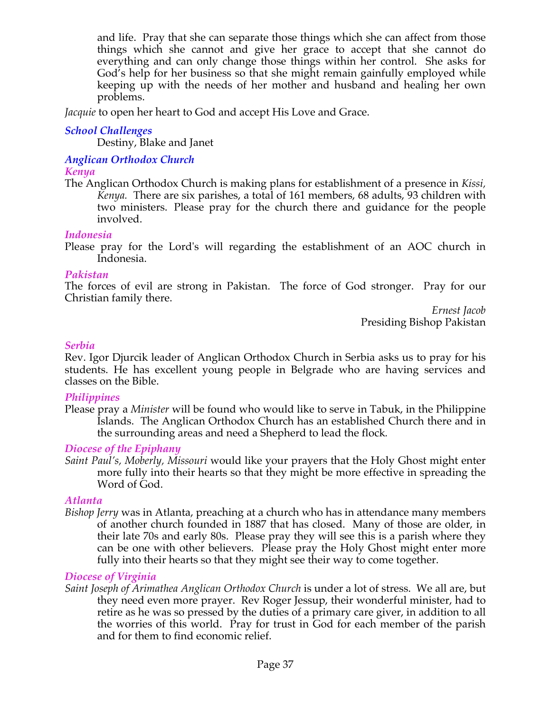and life. Pray that she can separate those things which she can affect from those things which she cannot and give her grace to accept that she cannot do everything and can only change those things within her control. She asks for God's help for her business so that she might remain gainfully employed while keeping up with the needs of her mother and husband and healing her own problems.

*Jacquie* to open her heart to God and accept His Love and Grace.

# *School Challenges*

Destiny, Blake and Janet

#### *Anglican Orthodox Church Kenya*

The Anglican Orthodox Church is making plans for establishment of a presence in *Kissi, Kenya.* There are six parishes, a total of 161 members, 68 adults, 93 children with two ministers. Please pray for the church there and guidance for the people involved.

# *Indonesia*

Please pray for the Lord's will regarding the establishment of an AOC church in Indonesia.

# *Pakistan*

The forces of evil are strong in Pakistan. The force of God stronger. Pray for our Christian family there.

> *Ernest Jacob* Presiding Bishop Pakistan

# *Serbia*

Rev. Igor Djurcik leader of Anglican Orthodox Church in Serbia asks us to pray for his students. He has excellent young people in Belgrade who are having services and classes on the Bible.

# *Philippines*

Please pray a *Minister* will be found who would like to serve in Tabuk, in the Philippine Islands. The Anglican Orthodox Church has an established Church there and in the surrounding areas and need a Shepherd to lead the flock*.*

# *Diocese of the Epiphany*

*Saint Paul's, Moberly, Missouri* would like your prayers that the Holy Ghost might enter more fully into their hearts so that they might be more effective in spreading the Word of God.

# *Atlanta*

*Bishop Jerry* was in Atlanta, preaching at a church who has in attendance many members of another church founded in 1887 that has closed. Many of those are older, in their late 70s and early 80s. Please pray they will see this is a parish where they can be one with other believers. Please pray the Holy Ghost might enter more fully into their hearts so that they might see their way to come together.

# *Diocese of Virginia*

*Saint Joseph of Arimathea Anglican Orthodox Church* is under a lot of stress. We all are, but they need even more prayer. Rev Roger Jessup, their wonderful minister, had to retire as he was so pressed by the duties of a primary care giver, in addition to all the worries of this world. Pray for trust in God for each member of the parish and for them to find economic relief.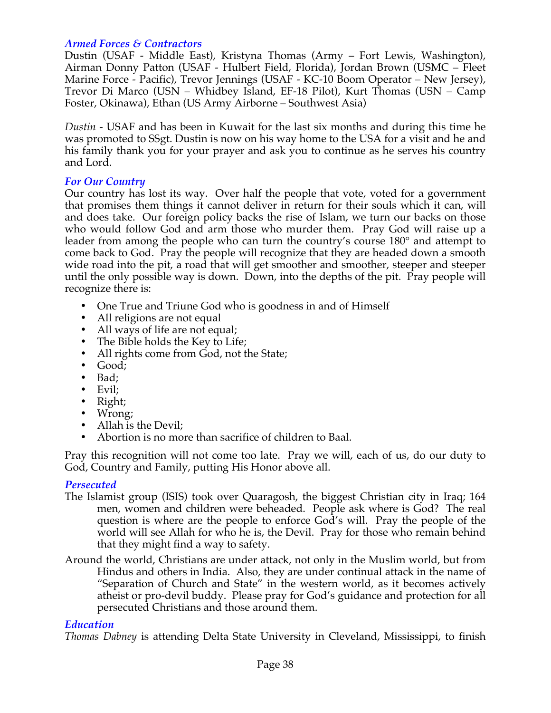# *Armed Forces & Contractors*

Dustin (USAF - Middle East), Kristyna Thomas (Army – Fort Lewis, Washington), Airman Donny Patton (USAF - Hulbert Field, Florida), Jordan Brown (USMC – Fleet Marine Force - Pacific), Trevor Jennings (USAF - KC-10 Boom Operator – New Jersey), Trevor Di Marco (USN – Whidbey Island, EF-18 Pilot), Kurt Thomas (USN – Camp Foster, Okinawa), Ethan (US Army Airborne – Southwest Asia)

*Dustin* - USAF and has been in Kuwait for the last six months and during this time he was promoted to SSgt. Dustin is now on his way home to the USA for a visit and he and his family thank you for your prayer and ask you to continue as he serves his country and Lord.

# *For Our Country*

Our country has lost its way. Over half the people that vote, voted for a government that promises them things it cannot deliver in return for their souls which it can, will and does take. Our foreign policy backs the rise of Islam, we turn our backs on those who would follow God and arm those who murder them. Pray God will raise up a leader from among the people who can turn the country's course 180° and attempt to come back to God. Pray the people will recognize that they are headed down a smooth wide road into the pit, a road that will get smoother and smoother, steeper and steeper until the only possible way is down. Down, into the depths of the pit. Pray people will recognize there is:

- One True and Triune God who is goodness in and of Himself
- All religions are not equal
- All ways of life are not equal;
- The Bible holds the Key to Life;
- All rights come from God, not the State;
- Good;
- Bad;
- Evil;
- Right;
- Wrong;
- Allah is the Devil;
- Abortion is no more than sacrifice of children to Baal.

Pray this recognition will not come too late. Pray we will, each of us, do our duty to God, Country and Family, putting His Honor above all.

# *Persecuted*

- The Islamist group (ISIS) took over Quaragosh, the biggest Christian city in Iraq; 164 men, women and children were beheaded. People ask where is God? The real question is where are the people to enforce God's will. Pray the people of the world will see Allah for who he is, the Devil. Pray for those who remain behind that they might find a way to safety.
- Around the world, Christians are under attack, not only in the Muslim world, but from Hindus and others in India. Also, they are under continual attack in the name of "Separation of Church and State" in the western world, as it becomes actively atheist or pro-devil buddy. Please pray for God's guidance and protection for all persecuted Christians and those around them.

# *Education*

*Thomas Dabney* is attending Delta State University in Cleveland, Mississippi, to finish